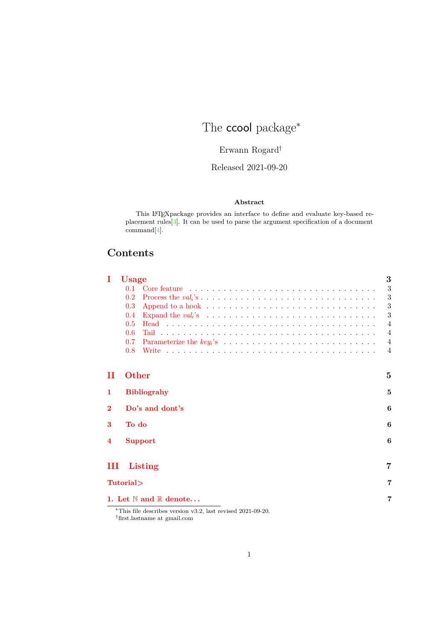## The **ccool** package<sup>\*</sup>

## Erwann Rogard†

## Released 2021-09-20

#### **Abstract**

This LATEXpackage provides an interface to define and evaluate key-based replacement rules[\[3\]](#page-5-0). It can be used to parse the argument specification of a document command[\[4\]](#page-5-1).

## **Contents**

| Ι            | <b>Usage</b> |                                                                                                                                                                                                                                | 3              |
|--------------|--------------|--------------------------------------------------------------------------------------------------------------------------------------------------------------------------------------------------------------------------------|----------------|
|              | 0.1          |                                                                                                                                                                                                                                | 3              |
|              | 0.2          |                                                                                                                                                                                                                                | 3              |
|              | 0.3          |                                                                                                                                                                                                                                | 3              |
|              | 0.4          |                                                                                                                                                                                                                                | 3              |
|              | 0.5          |                                                                                                                                                                                                                                | $\overline{4}$ |
|              | 0.6          |                                                                                                                                                                                                                                | $\overline{4}$ |
|              | 0.7          |                                                                                                                                                                                                                                | $\overline{4}$ |
|              | 0.8          | Write recovered to the contract of the contract of the contract of the contract of the contract of the contract of the contract of the contract of the contract of the contract of the contract of the contract of the contrac | $\overline{4}$ |
| П            | <b>Other</b> |                                                                                                                                                                                                                                | 5              |
| 1            |              | <b>Bibliograhy</b>                                                                                                                                                                                                             | 5              |
| $\mathbf{2}$ |              | Do's and dont's                                                                                                                                                                                                                | 6              |
| 3            | To do        |                                                                                                                                                                                                                                | 6              |
| 4            |              | <b>Support</b>                                                                                                                                                                                                                 | 6              |
| Ш            |              | Listing                                                                                                                                                                                                                        | $\overline{7}$ |
|              | Tutorial>    |                                                                                                                                                                                                                                | 7              |
|              |              | 1. Let $\mathbb N$ and $\mathbb R$ denote                                                                                                                                                                                      | 7              |

<sup>∗</sup>This file describes version v3.2, last revised 2021-09-20.  $^\dagger$  first.lastname at gmail.com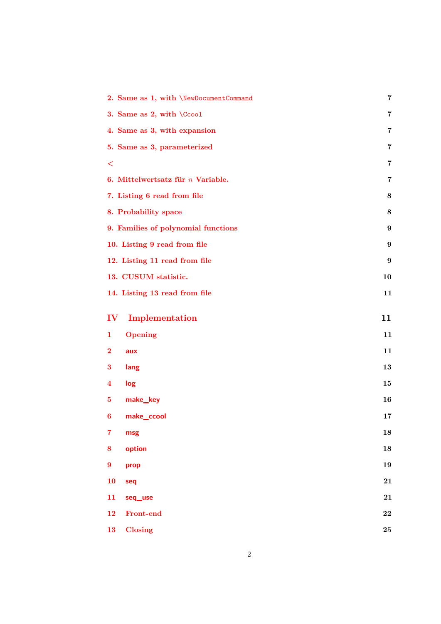|                  | 2. Same as 1, with \NewDocumentCommand | 7                       |
|------------------|----------------------------------------|-------------------------|
|                  | 3. Same as 2, with \Ccool              | 7                       |
|                  | 4. Same as 3, with expansion           | $\overline{7}$          |
|                  | 5. Same as 3, parameterized            | 7                       |
| $\,<\,$          |                                        | $\overline{\mathbf{7}}$ |
|                  | 6. Mittelwertsatz für $n$ Variable.    | 7                       |
|                  | 7. Listing 6 read from file            | 8                       |
|                  | 8. Probability space                   | $\bf 8$                 |
|                  | 9. Families of polynomial functions    | 9                       |
|                  | 10. Listing 9 read from file           | $\boldsymbol{9}$        |
|                  | 12. Listing 11 read from file          | $\boldsymbol{9}$        |
|                  | 13. CUSUM statistic.                   | 10                      |
|                  | 14. Listing 13 read from file          | 11                      |
| $\bf{IV}$        | Implementation                         | 11                      |
| 1                | <b>Opening</b>                         | 11                      |
| $\bf{2}$         | aux                                    | 11                      |
| 3                | lang                                   | 13                      |
| 4                | log                                    | 15                      |
| 5                | make_key                               | 16                      |
| 6                | make_ccool                             | 17                      |
| $\overline{7}$   | msg                                    | 18                      |
| 8                | option                                 | 18                      |
| $\boldsymbol{9}$ | prop                                   | 19                      |
| 10               | seq                                    | 21                      |
| 11               | seq_use                                | 21                      |
| 12               | Front-end                              | 22                      |
| 13               | Closing                                | 25                      |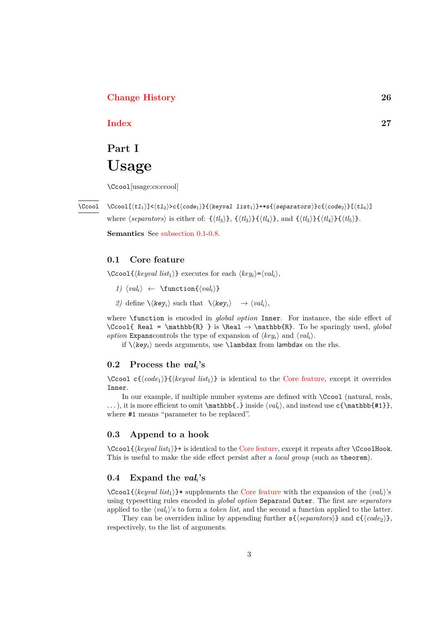#### <span id="page-2-6"></span>**[Change History](#page-25-0) 26**

### **[Index](#page-26-0) 27**

## <span id="page-2-0"></span>**Part I Usage**

\Ccool[usage:cs:ccool]

\Ccool

 $\verb+\CCool[*t1*<sub>1</sub>]<*t*<sub>2</sub>*>t*<sub>3</sub>***ce**<sub>1</sub>*t*<sub>4</sub>***ce**<sub>2</sub>***ce**<sub>4</sub>***ce**<sub>5</sub>***ce**<sub>6</sub>***ce**<sub>6</sub>***ce**<sub>7</sub>***ce**<sub>7</sub>***ce**<sub>8</sub>***ce************$ where  $\langle \text{separators} \rangle$  is either of:  $\{\langle t l_3 \rangle\}, \{\langle t l_4 \rangle\}, \{\langle t l_4 \rangle\}, \{\langle t l_3 \rangle\}\{\langle t l_4 \rangle\}\}$ .

**Semantics** See [subsection 0.1](#page-2-1)[-0.8.](#page-3-3)

### <span id="page-2-1"></span>**0.1 Core feature**

 $\setminus$ Ccool $\{\langle \text{keyval list}_1 \rangle\}$  executes for each  $\langle \text{key}_i \rangle = \langle \text{val}_i \rangle$ ,

- *1)*  $\langle val_i \rangle \leftarrow \{ \langle val_i \rangle \}$
- <span id="page-2-5"></span>*2*) define  $\langle \langle \text{key}_i \rangle$  such that  $\langle \langle \text{key}_i \rangle \rightarrow \langle \text{val}_i \rangle$ ,

where \function is encoded in *global option* Inner. For instance, the side effect of \Ccool{ Real = \mathbb{R} } is \Real → \mathbb{R}. To be sparingly used, *global option* Expanscontrols the type of expansion of  $\langle key_i \rangle$  and  $\langle val_i \rangle$ .

if  $\langle \text{key}_i \rangle$  needs arguments, use  $\lambda$  from lambdax on the rhs.

#### <span id="page-2-2"></span>**0.2 Process the** *vali***'s**

\Ccool c{⟨*code*1⟩}{⟨*keyval list*1⟩} is identical to the [Core feature,](#page-2-1) except it overrides Inner.

In our example, if multiple number systems are defined with \Ccool (natural, reals, ...), it is more efficient to omit  $\mathbf{.}$  inside  $\langle val_i \rangle$ , and instead use  $\{\mathbf{.} \}$ , where #1 means "parameter to be replaced".

#### <span id="page-2-3"></span>**0.3 Append to a hook**

\Ccool{⟨*keyval list*1⟩}+ is identical to the [Core feature,](#page-2-1) except it repeats after \CcoolHook. This is useful to make the side effect persist after a *local group* (such as theorem).

#### <span id="page-2-4"></span>**0.4 Expand the** *vali***'s**

\Ccool{⟨*keyval list*1⟩}\* supplements the [Core feature](#page-2-1) with the expansion of the ⟨*vali*⟩'s using typesetting rules encoded in *global option* Separand Outer. The first are *separators* applied to the ⟨*vali*⟩'s to form a *token list*, and the second a function applied to the latter.

They can be overriden inline by appending further s{⟨*separators*⟩} and c{⟨*code*2⟩}, respectively, to the list of arguments.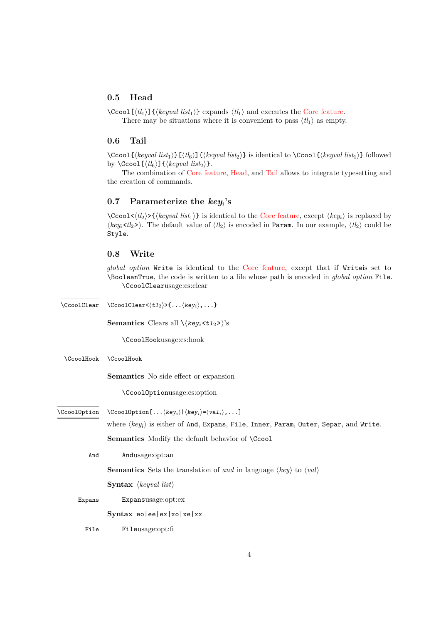#### <span id="page-3-7"></span><span id="page-3-0"></span>**0.5 Head**

\Ccool[⟨*tl*1⟩]{⟨*keyval list*1⟩} expands ⟨*tl*1⟩ and executes the [Core feature.](#page-2-1) There may be situations where it is convenient to pass  $\langle tl_1 \rangle$  as empty.

#### <span id="page-3-1"></span>**0.6 Tail**

\Ccool{⟨*keyval list*1⟩}[⟨*tl*6⟩]{⟨*keyval list*2⟩} is identical to \Ccool{⟨*keyval list*1⟩} followed by  $\text{Ccool}[(t_6)]\{\text{keyval list}_2\}.$ 

The combination of [Core feature,](#page-2-1) [Head,](#page-3-0) and [Tail](#page-3-1) allows to integrate typesetting and the creation of commands.

### <span id="page-3-2"></span>**0.7 Parameterize the** *keyi***'s**

 $\C{ccool}\langle \langle t_2 \rangle \rangle$  { $\langle \langle \text{keyval list}_1 \rangle \rangle$ } is identical to the [Core feature,](#page-2-1) except  $\langle \text{key}_i \rangle$  is replaced by  $\langle key_i \langle t \rangle > \rangle$ . The default value of  $\langle t \rangle$  is encoded in Param. In our example,  $\langle t \rangle$  could be Style.

#### <span id="page-3-3"></span>**0.8 Write**

*global option* Write is identical to the [Core feature,](#page-2-1) except that if Writeis set to \BooleanTrue, the code is written to a file whose path is encoded in *global option* File. \CcoolClearusage:cs:clear

<span id="page-3-10"></span><span id="page-3-9"></span><span id="page-3-8"></span><span id="page-3-6"></span><span id="page-3-5"></span><span id="page-3-4"></span>

| <b>\CcoolClear</b> | \CcoolClear< $\langle t1_2\rangle$ >{ $\langle key_i\rangle$ ,}                                         |
|--------------------|---------------------------------------------------------------------------------------------------------|
|                    | <b>Semantics</b> Clears all $\langle \text{key}_i \langle t1_2 \rangle \rangle$ 's                      |
|                    | \CcoolHookusage:cs:hook                                                                                 |
| \CcoolHook         | \CcoolHook                                                                                              |
|                    | <b>Semantics</b> No side effect or expansion                                                            |
|                    | \CcoolOptionusage:cs:option                                                                             |
| \CcoolOption       | $\CcoolOption[ \langle key_i \rangle   \langle key_i \rangle = \langle val_i \rangle, ]$                |
|                    | where $\langle key_i \rangle$ is either of And, Expans, File, Inner, Param, Outer, Separ, and Write.    |
|                    | <b>Semantics</b> Modify the default behavior of <b>\Ccool</b>                                           |
| And                | Andusage:opt:an                                                                                         |
|                    | <b>Semantics</b> Sets the translation of and in language $\langle key \rangle$ to $\langle val \rangle$ |
|                    | <b>Syntax</b> $\langle \text{keyval list} \rangle$                                                      |
| Expans             | Expansusage:opt:ex                                                                                      |
|                    | Syntax eoleelex   xolxelxx                                                                              |
| File               | Fileusage:opt:fi                                                                                        |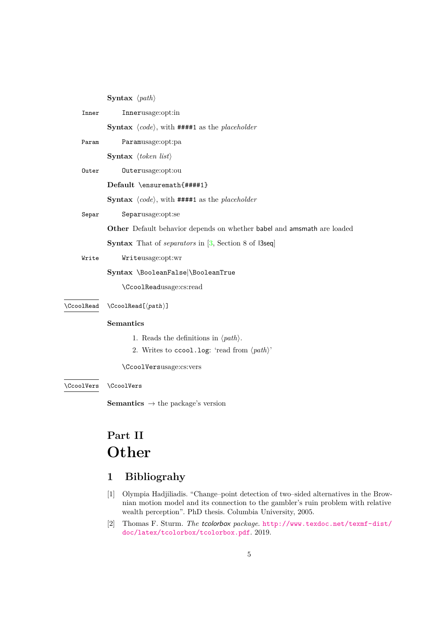<span id="page-4-11"></span><span id="page-4-9"></span><span id="page-4-8"></span><span id="page-4-7"></span><span id="page-4-6"></span>

|            | <b>Syntax</b> $\langle path \rangle$                                                |
|------------|-------------------------------------------------------------------------------------|
| Inner      | Innerusage:opt:in                                                                   |
|            | <b>Syntax</b> $\langle code \rangle$ , with <b>####1</b> as the <i>placeholder</i>  |
| Param      | Paramusage:opt:pa                                                                   |
|            | <b>Syntax</b> $\langle \text{token list} \rangle$                                   |
| Outer      | Outerusage:opt:ou                                                                   |
|            | Default \ensuremath{####1}                                                          |
|            | <b>Syntax</b> $\langle code \rangle$ , with <b>####1</b> as the <i>placeholder</i>  |
| Separ      | Separusage:opt:se                                                                   |
|            | Other Default behavior depends on whether babel and amsmath are loaded              |
|            | <b>Syntax</b> That of <i>separators</i> in $[3, \text{Section 8 of } 13\text{seq}]$ |
| Write      | Writeusage:opt:wr                                                                   |
|            | Syntax \BooleanFalse \BooleanTrue                                                   |
|            | \CcoolReadusage:cs:read                                                             |
| \CcoolRead | $\CcoolRead[\langle path \rangle]$                                                  |
|            | <b>Semantics</b>                                                                    |
|            | 1. Reads the definitions in $\langle path \rangle$ .                                |
|            | 2. Writes to ccool.log: 'read from $\langle path \rangle$ '                         |
|            | \CcoolVersusage:cs:vers                                                             |
| \CcoolVers | \CcoolVers                                                                          |
|            | <b>Semantics</b> $\rightarrow$ the package's version                                |

## <span id="page-4-10"></span><span id="page-4-5"></span><span id="page-4-4"></span><span id="page-4-0"></span>**Part II Other**

## <span id="page-4-1"></span>**1 Bibliograhy**

- <span id="page-4-3"></span>[1] Olympia Hadjiliadis. "Change–point detection of two–sided alternatives in the Brownian motion model and its connection to the gambler's ruin problem with relative wealth perception". PhD thesis. Columbia University, 2005.
- <span id="page-4-2"></span>[2] Thomas F. Sturm. *The* tcolorbox *package*. [http://www.texdoc.net/texmf-dist/](http://www.texdoc.net/texmf-dist/doc/latex/tcolorbox/tcolorbox.pdf) [doc/latex/tcolorbox/tcolorbox.pdf](http://www.texdoc.net/texmf-dist/doc/latex/tcolorbox/tcolorbox.pdf). 2019.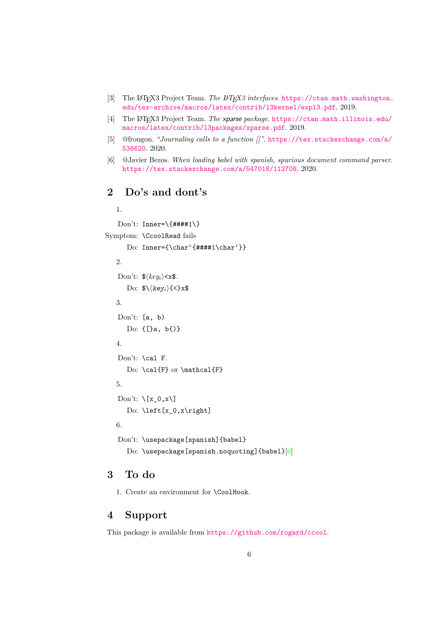- <span id="page-5-7"></span><span id="page-5-0"></span>[3] The LAT<sub>F</sub>X3 Project Team. *The LAT<sub>F</sub>X3 interfaces.* [https://ctan.math.washington.](https://ctan.math.washington.edu/tex-archive/macros/latex/contrib/l3kernel/expl3.pdf) [edu/tex-archive/macros/latex/contrib/l3kernel/expl3.pdf](https://ctan.math.washington.edu/tex-archive/macros/latex/contrib/l3kernel/expl3.pdf). 2019.
- <span id="page-5-1"></span>[4] The LATEX3 Project Team. *The* xparse *package*. [https://ctan.math.illinois.edu/](https://ctan.math.illinois.edu/macros/latex/contrib/l3packages/xparse.pdf) [macros/latex/contrib/l3packages/xparse.pdf](https://ctan.math.illinois.edu/macros/latex/contrib/l3packages/xparse.pdf). 2019.
- <span id="page-5-6"></span>[5] @frougon. *"Journaling calls to a function []"*. [https://tex.stackexchange.com/a/](https://tex.stackexchange.com/a/536620) [536620](https://tex.stackexchange.com/a/536620). 2020.
- <span id="page-5-5"></span>[6] @Javier Bezos. *When loading babel with spanish, spurious document command parser*. <https://tex.stackexchange.com/a/547018/112708>. 2020.

## <span id="page-5-2"></span>**2 Do's and dont's**

```
1.
   Don't: Inner=\1{####1}\Symptom: \CcoolRead fails
     Do: Inner={\char'{####1\char'}}
  2.
   Don't: $⟨keyi⟩<x$.
     Do: $\\key<sub>i</sub>}{<}x$
  3.
   Don't: [a, b)
     Do: {[}a, b{)}
  4.
   Don't: \cal F.
     Do: \cal{F} or \mathcal{F}
  5.
   Don't: \chi[x_0, x]Do: \left[x_0,x\right]
  6.
   Don't: \usepackage[spanish]{babel}
     [6]
```
## <span id="page-5-3"></span>**3 To do**

1. Create an environment for \CoolHook.

## <span id="page-5-4"></span>**4 Support**

This package is available from <https://github.com/rogard/ccool>.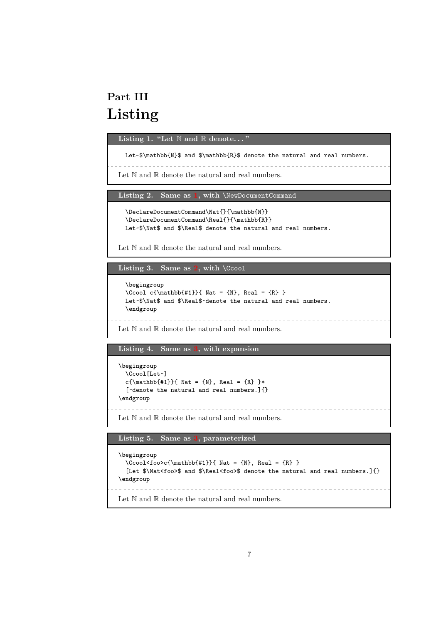## <span id="page-6-12"></span><span id="page-6-0"></span>**Part III Listing**

<span id="page-6-2"></span><span id="page-6-1"></span>**Listing 1. "Let** N **and** R **denote. . . "**

Let~\$\mathbb{N}\$ and \$\mathbb{R}\$ denote the natural and real numbers.

Let  $\mathbb N$  and  $\mathbb R$  denote the natural and real numbers.

<span id="page-6-4"></span><span id="page-6-3"></span>**Listing 2. Same as [1,](#page-6-2) with** \NewDocumentCommand

```
\DeclareDocumentCommand\Nat{}{\mathbb{N}}
\DeclareDocumentCommand\Real{}{\mathbb{R}}
Let~$\Nat$ and $\Real$ denote the natural and real numbers.
```
Let  $\mathbb N$  and  $\mathbb R$  denote the natural and real numbers.

<span id="page-6-6"></span><span id="page-6-5"></span>**Listing 3.** Same as  $2$ , with  $\text{Ccool}$ 

```
\begingroup
\Ccool c{\mathbb{+1}}{ Nat = {N}, Real = {R}}Let~$\Nat$ and $\Real$~denote the natural and real numbers.
\endgroup
         ____________________________________
```
Let  $\mathbb N$  and  $\mathbb R$  denote the natural and real numbers.

<span id="page-6-8"></span><span id="page-6-7"></span>**Listing 4. Same as [3,](#page-6-6) with expansion**

```
\begingroup
 \Ccool[Let~]
 c{\mathbb{#1}}{ Nat = {N}, Real = {R} }*
 [~denote the natural and real numbers.]{}
\endgroup
```
Let  $\mathbb N$  and  $\mathbb R$  denote the natural and real numbers.

<span id="page-6-10"></span><span id="page-6-9"></span>**Listing 5. Same as [3,](#page-6-6) parameterized**

```
\begingroup
 \verb|CCool<foot>\{mathbb{#1}}{\ Nat = \{N\}, Real = \{R\}}[Let $\Nat<foo>$ and $\Real<foo>$ denote the natural and real numbers.]{}
\endgroup
Let \mathbb N and \mathbb R denote the natural and real numbers.
```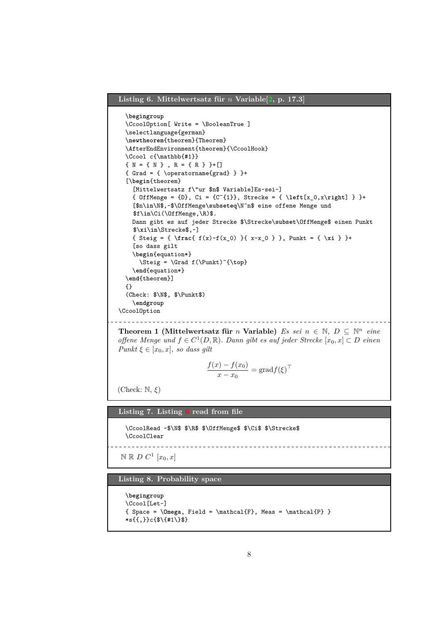#### <span id="page-7-5"></span><span id="page-7-0"></span>**Listing 6. Mittelwertsatz für** *n* **Variable[\[2,](#page-4-2) p. 17.3]**

```
\begingroup
  \CcoolOption[ Write = \BooleanTrue ]
  \selectlanguage{german}
  \newtheorem{theorem}{Theorem}
  \AfterEndEnvironment{theorem}{\CcoolHook}
  \Ccool c{\mathbb{#1}}
  { \{ N = \{ N \} , R = \{ R \} \} + [ \ ]}{Grad = {\n\operatorname{operatorname{grad}} } } }+
  [\begin{theorem}
    [Mittelwertsatz f\"ur $n$ Variable]Es~sei~]
    { OffMenge = {D}, Ci = {C^{1}}, Strecke = { \left[x_0,x\right] } }+
    [$n\in\N$,~$\OffMenge\subseteq\N^n$ eine offene Menge und
    $f\in\Ci(\OffMenge,\R)$.
    Dann gibt es auf jeder Strecke $\Strecke\subset\OffMenge$ einen Punkt
    $\xi\in\Strecke$,~]
    { Steig = { \frac{ f(x)-f(x_0) }{ x-x_0 } }, Punkt = { \xi } }+
    [so dass gilt
    \begin{equation*}
      \Steig = \Grad f(\Punkt)^{\top}
    \end{equation*}
  \end{theorem}]
  {}
  (Check: $\N$, $\Punkt$)
    \endgroup
\CcoolOption
               _________________________________
```
**Theorem 1 (Mittelwertsatz für** *n* **Variable)** *Es sei*  $n \in \mathbb{N}$ ,  $D \subseteq \mathbb{N}^n$  *eine offene Menge und*  $f$  ∈  $C$ <sup>1</sup>( $D, \mathbb{R}$ ). Dann gibt es auf jeder Strecke [ $x_0, x$ ] ⊂  $D$  *einen Punkt*  $\xi \in [x_0, x]$ *, so dass gilt* 

$$
\frac{f(x) - f(x_0)}{x - x_0} = \text{grad} f(\xi)^{\top}
$$

(Check: N, *ξ*)

<span id="page-7-2"></span><span id="page-7-1"></span>**Listing 7. Listing [6](#page-7-0) read from file**

\CcoolRead ~\$\N\$ \$\R\$ \$\OffMenge\$ \$\Ci\$ \$\Strecke\$ \CcoolClear

 $N \mathbb{R}$  *D*  $C^1$   $[x_0, x]$ 

<span id="page-7-4"></span><span id="page-7-3"></span>**Listing 8. Probability space**

```
\begingroup
\Ccool[Let~]
\{ Space = \Omega, Field = \mathcal{F}, Meas = \mathcal{P} \}*s{{,}}c{$\{#1\}$}
```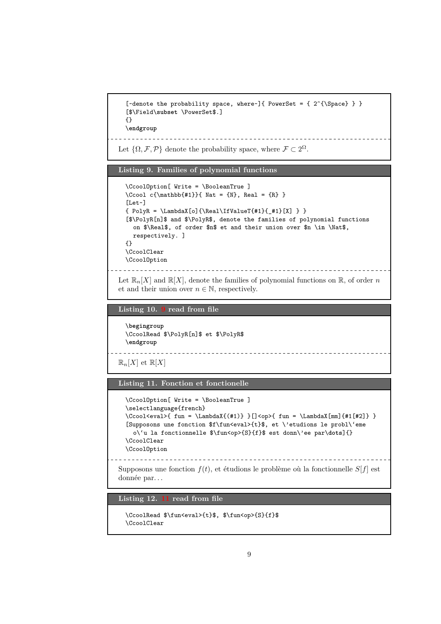```
[\alphadenote the probability space, where\alpha]{ PowerSet = { 2^{\Space} } }
[$\Field\subset \PowerSet$.]
{}
\endgroup
                   ________________________________
```
Let  $\{\Omega, \mathcal{F}, \mathcal{P}\}\$  denote the probability space, where  $\mathcal{F} \subset 2^{\Omega}$ .

#### <span id="page-8-1"></span><span id="page-8-0"></span>**Listing 9. Families of polynomial functions**

```
\CcoolOption[ Write = \BooleanTrue ]
\Ccool c{\mathbb{#1}}{ Nat = {N}, Real = {R} }
[Let~]
{ Polyk = \Lambda[X[o]{\Real}\IfValueT{#1}{_#1}[X] } \}[$\PolyR[n]$ and $\PolyR$, denote the families of polynomial functions
  on $\Real$, of order $n$ et and their union over $n \in \Nat$,
 respectively. ]
{}
\CcoolClear
\CcoolOption
```
-------------------------Let  $\mathbb{R}_n[X]$  and  $\mathbb{R}[X]$ , denote the families of polynomial functions on  $\mathbb{R}$ , of order *n* et and their union over  $n \in \mathbb{N}$ , respectively.

<span id="page-8-3"></span><span id="page-8-2"></span>**Listing 10. [9](#page-8-1) read from file**

```
\begingroup
\CcoolRead $\PolyR[n]$ et $\PolyR$
\endgroup
```

```
\mathbb{R}_n[X] et \mathbb{R}[X]
```
<span id="page-8-6"></span>**Listing 11. Fonction et fonctionelle**

```
\CcoolOption[ Write = \BooleanTrue ]
\selectlanguage{french}
\verb|CCool<eval> { fun = \Lambda X({#1}) } |Cop&gt; { fun = \Lambda X[mm]{#1[#2]} }[Supposons une fonction $f\fun<eval>{t}$, et \'etudions le probl\'eme
  o\'u la fonctionnelle $\fun<op>{S}{f}$ est donn\'ee par\dots]{}
\CcoolClear
\CcoolOption
```
\_\_\_\_\_\_\_\_\_\_\_\_\_\_\_\_\_\_\_\_\_\_\_\_\_\_

Supposons une fonction  $f(t)$ , et étudions le problème où la fonctionnelle  $S[f]$  est donnée par. . .

<span id="page-8-5"></span><span id="page-8-4"></span>**Listing 12. [11](#page-8-6) read from file**

```
\CcoolRead $\fun<eval>{t}$, $\fun<op>{S}{f}$
\CcoolClear
```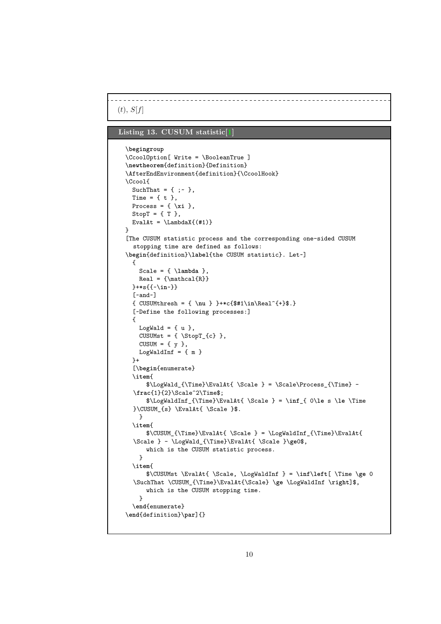$(t), S[f]$ 

### <span id="page-9-1"></span><span id="page-9-0"></span>**Listing 13. CUSUM statistic[\[1\]](#page-4-3)**

```
\begingroup
\CcoolOption[ Write = \BooleanTrue ]
\newtheorem{definition}{Definition}
\AfterEndEnvironment{definition}{\CcoolHook}
\Ccool{
 SuchThat = \{ ; - \},
 Time = \{ t \},
 Process = \{\ \xi\},
 StopT = \{T\},
 EvalAt = \Lambda<sup>{</sup>(#1)}
}
[The CUSUM statistic process and the corresponding one-sided CUSUM
  stopping time are defined as follows:
\begin{definition}\label{the CUSUM statistic}. Let~]
 {
    Scale = \{\lambda\},
    Real = {\mathcal{R}}}+*s{{~\in~}}
  [~and~]
  { CUSUMthresh = { \nu } _+c{#1\in\Re2^{-+}}
  [~Define the following processes:]
  {
    LogWald = {u },
    CUSUMst = \{ \text{StopT}_{c}\},CUSUM = \{ y \},
   LogWaldInf = {m}}+
  [\begin{enumerate}
  \item{
      \LogWald_{\Time}\EvalAt{\ \Scale } = \Scale\Process_{\Time} -\frac{1}{2}\Scale^2\Time$;
      $\LogWaldInf_{\Time}\EvalAt{ \Scale } = \inf_{ 0\le s \le \Time
  }\CUSUM_{s} \EvalAt{ \Scale }$.
   }
  \item{
      \label{CUSUM} $$\CUSUM_{\Time}\EvalAt{ \Scale } = \LogWaldInf_{\Time}\EvalAt{\Scale } - \LogWald_{\Time}\EvalAt{ \Scale }\ge0$,
      which is the CUSUM statistic process.
    }
  \item{
      $\CUSUMst \EvalAt{ \Scale, \LogWaldInf } = \inf\left[ \Time \ge 0
  \SuchThat \CUSUM_{\Time}\EvalAt{\Scale} \ge \LogWaldInf \right]$,
      which is the CUSUM stopping time.
    }
  \end{enumerate}
\end{definition}\par]{}
```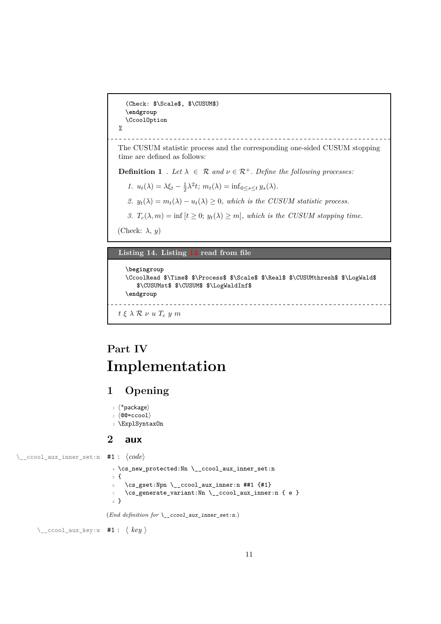<span id="page-10-5"></span>(Check: \$\Scale\$, \$\CUSUM\$) \**endgroup** \CcoolOption  $\frac{9}{6}$ The CUSUM statistic process and the corresponding one-sided CUSUM stopping time are defined as follows: **Definition 1** *. Let*  $\lambda \in \mathcal{R}$  *and*  $\nu \in \mathcal{R}^+$ *. Define the following processes: 1.*  $u_t(\lambda) = \lambda \xi_t - \frac{1}{2} \lambda^2 t$ ;  $m_t(\lambda) = \inf_{0 \le s \le t} y_s(\lambda)$ . *2.*  $y_t(\lambda) = m_t(\lambda) - u_t(\lambda) \geq 0$ , which is the CUSUM statistic process. *3.*  $T_c(\lambda, m) = \inf \{ t \geq 0; y_t(\lambda) \geq m \}$ , which is the CUSUM stopping time. (Check: *λ*, *y*) **Listing 14. Listing [13](#page-9-1) read from file**

```
\begingroup
  \CcoolRead $\Time$ $\Process$ $\Scale$ $\Real$ $\CUSUMthresh$ $\LogWald$
     $\CUSUMst$ $\CUSUM$ $\LogWaldInf$
  \endgroup
                      ----------------------
t ξ λ R ν u Tc y m
```
## <span id="page-10-2"></span>**Part IV Implementation**

## <span id="page-10-3"></span>**1 Opening**

```
1 ⟨*package⟩
2 ⟨@@=ccool⟩
```
<span id="page-10-11"></span><sup>3</sup> \ExplSyntaxOn

## <span id="page-10-10"></span><span id="page-10-8"></span><span id="page-10-4"></span>**2 aux**

\\_\_ccool\_aux\_inner\_set:n #1 : ⟨*code*⟩

<sup>4</sup> \cs\_new\_protected:Nn \\_\_ccool\_aux\_inner\_set:n <sup>5</sup> {  $\cs{csgset:Npn} \cscol_aux_inner:n ##1 {#1}$ <sup>7</sup> \cs\_generate\_variant:Nn \\_\_ccool\_aux\_inner:n { e } <sup>8</sup> }

<span id="page-10-9"></span><span id="page-10-7"></span><span id="page-10-6"></span>(*End definition for* \\_\_ccool\_aux\_inner\_set:n*.*)

\\_\_ccool\_aux\_key:w #1 : ⟨ *key* ⟩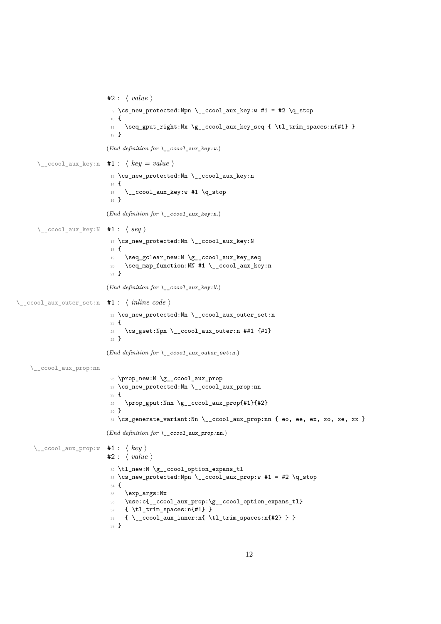```
#2 : ⟨ value ⟩
                              9 \text{ (s_new-protected: Npn)} ccool_aux_key:w #1 = #2 \q_stop
                             10 {
                             11 \seq_gput_right:Nx \g__ccool_aux_key_seq { \tl_trim_spaces:n{#1} }
                             12 }
                            (End definition for \__ccool_aux_key:w.)
      \setminus_ccool_aux_key:n #1: \langle key = value \rangle13 \cs_new_protected:Nn \__ccool_aux_key:n
                             14 \frac{1}{2}15 \quad \bigcup_{\text{ccool}\_aux\_key:w\ #1} \bigcup_{\text{stop}}16 }
                            (End definition for \__ccool_aux_key:n.)
      \__ccool_aux_key:N #1 : ⟨ seq ⟩
                             17 \cs_new_protected:Nn \__ccool_aux_key:N
                             18 \frac{1}{2}19 \seq_gclear_new:N \g__ccool_aux_key_seq
                             20 \seq_map_function:NN #1 \__ccool_aux_key:n
                             21 }
                            (End definition for \__ccool_aux_key:N.)
\__ccool_aux_outer_set:n #1 : ⟨ inline code ⟩
                             22 \cs_new_protected:Nn \__ccool_aux_outer_set:n
                             23 \text{ f}24 \cs_gset:Npn \__ccool_aux_outer:n ##1 {#1}
                             25 }
                            (End definition for \__ccool_aux_outer_set:n.)
    \__ccool_aux_prop:nn
                             26 \prop_new:N \g__ccool_aux_prop
                             27 \cs_new_protected:Nn \__ccool_aux_prop:nn
                             28 \frac{1}{2}29 \prop_gput:Nnn \g__ccool_aux_prop{#1}{#2}
                             30 }
                             31 \cs_generate_variant:Nn \__ccool_aux_prop:nn { eo, ee, ex, xo, xe, xx }
                            (End definition for \__ccool_aux_prop:nn.)
     \__ccool_aux_prop:w #1 : ⟨ key ⟩
                            #2 : ⟨ value ⟩
                             32 \tl_new:N \g__ccool_option_expans_tl
                             33 \cs_new_protected:Npn \__ccool_aux_prop:w #1 = #2 \q_stop
                             34 {
                             35 \exp_args:Nx
                             36 \use:c{__ccool_aux_prop:\g__ccool_option_expans_tl}
                             37 { \tl_trim_spaces:n{#1} }
                             38 \{ \ \ccool_aux_inner:n{ \tl_trim_spaces:n{#2} } }
                             39 }
```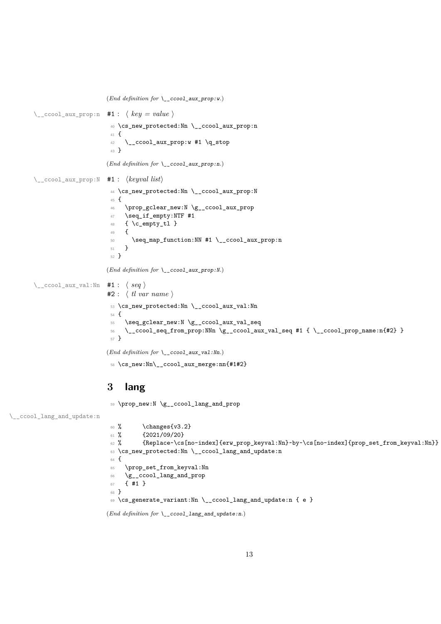```
(End definition for \__ccool_aux_prop:w.)
\__ccool_aux_prop:n #1 : ⟨ key = value ⟩
                       40 \cs_new_protected:Nn \__ccool_aux_prop:n
                       41 \sim\downarrow \_\cosh \_\dagger \rightarrow \_\dagger43 }
                      (End definition for \__ccool_aux_prop:n.)
\__ccool_aux_prop:N #1 : ⟨keyval list⟩
                       44 \cs_new_protected:Nn \__ccool_aux_prop:N
                       45 {
                       46 \prop_gclear_new:N \g__ccool_aux_prop
                       47 \seq_if_empty:NTF #1
                       48 { \c_empty_tl }
                       49 {
                       50 \seq_map_function:NN #1 \__ccool_aux_prop:n
                       51 }
                       52 }
                      (End definition for \__ccool_aux_prop:N.)
\setminus ccool aux val:Nn #1 : \langle seq \rangle#2 : ⟨ tl var name ⟩
                       53 \cs_new_protected:Nn \__ccool_aux_val:Nn
                       54 {
                       55 \seq_gclear_new:N \g__ccool_aux_val_seq
                       _{56} \ ccool seq from prop:NNn \g_ccool_aux_val_seq #1 { \ ccool prop_name:n{#2} }
                       57 }
```
<span id="page-12-22"></span><span id="page-12-21"></span><span id="page-12-18"></span><span id="page-12-9"></span><span id="page-12-8"></span><span id="page-12-7"></span><span id="page-12-5"></span>(*End definition for* \\_\_ccool\_aux\_val:Nn*.*)

<span id="page-12-1"></span>\cs\_new:Nn\\_\_ccool\_aux\_merge:nn{#1#2}

## <span id="page-12-0"></span>**lang**

<span id="page-12-10"></span>\prop\_new:N \g\_\_ccool\_lang\_and\_prop

\\_\_ccool\_lang\_and\_update:n

```
60 \t% \changes{v3.2}
 61 \frac{\%}{61 \frac{\%}{2021}} \{2021/09/20\}62 % {Replace~\cs[no-index]{erw_prop_keyval:Nn}~by~\cs[no-index]{prop_set_from_keyval:Nn}}
 63 \cs_new_protected:Nn \__ccool_lang_and_update:n
 64 {
 65 \prop_set_from_keyval:Nn
 66 \g__ccool_lang_and_prop
 67 { #1 }
 68 }
 69 \cs_generate_variant:Nn \__ccool_lang_and_update:n { e }
(End definition for \__ccool_lang_and_update:n.)
```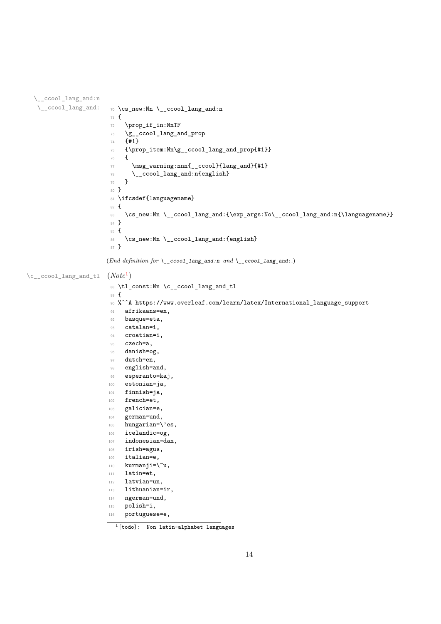```
\__ccool_lang_and:n
   \setminus__ccool_lang_and: \gamma_0 \setminus \text{cs\_new:} \nn \setminus__ccool_lang_and:n
                         71 \text{ } f72 \prop_if_in:NnTF
                         \gamma_3 \g__ccool_lang_and_prop
                         74 {#1}
                         75 {\prop_item:Nn\g__ccool_lang_and_prop{#1}}
                          76 {
                          77 \msg_warning:nnn{__ccool}{lang_and}{#1}
                          78 \qquad \searrow \qquad \qquad \text{1}<br>
79 \qquad \qquad \text{2}79 }
                         80 }
                         81 \ifcsdef{languagename}
                         82 \text{ } f83 \cs_new:Nn \__ccool_lang_and:{\exp_args:No\__ccool_lang_and:n{\languagename}}
                         84 }
                         85 {
                         86 \cs_new:Nn \__ccool_lang_and:{english}
                         87 }
                        (End definition for \__ccool_lang_and:n and \__ccool_lang_and:.)
\c__ccool_lang_and_tl (Note1
)
                         88 \tl_const:Nn \c__ccool_lang_and_tl
                         89 {
                         \% ^^A https://www.overleaf.com/learn/latex/International_language_support
                         91 afrikaans=en,
                         92 basque=eta,
                         93 catalan=i,
                         94 croatian=i,
                         95 czech=a,
                         96 danish=og,
                         97 dutch=en,
                         98 english=and,
                         99 esperanto=kaj,
                         100 estonian=ja,
                         101 finnish=ja,
                         102 french=et,
                         103 galician=e,
                         104 german=und,
                         105 hungarian=\'es,
                         106 icelandic=og,
                         107 indonesian=dan,
                         108 irish=agus,
                         109 italian=e,
                         110 kurmanji=\u,
                         111 latin=et,
                         112 latvian=un,
                         113 lithuanian=ir,
                         114 ngerman=und,
                         115 polish=i,
                         116 portuguese=e,
```
<span id="page-13-2"></span><span id="page-13-1"></span><span id="page-13-0"></span> $\overline{1[t]}$  (todo]: Non latin-alphabet languages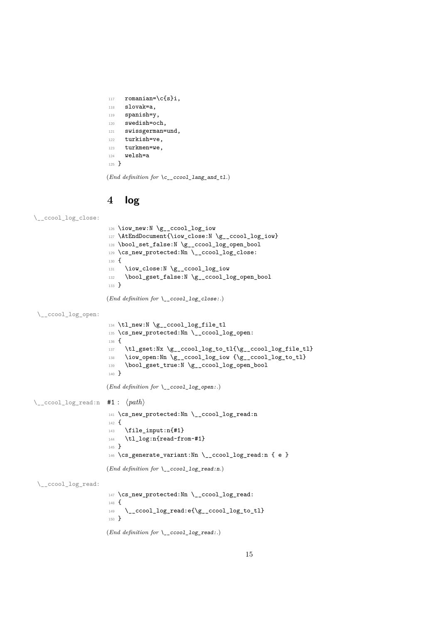```
117 romanian=\c{s}i,
118 slovak=a,
119 spanish=v.
120 swedish=och,
121 swissgerman=und,
122 turkish=ve,
123 turkmen=we,
124 welsh=a
125 }
```
 $(\mathit{End~definition~for~} \verb|\c_c\_ccool\_lang_and_t1|)$ 

## <span id="page-14-17"></span><span id="page-14-10"></span><span id="page-14-9"></span><span id="page-14-6"></span><span id="page-14-4"></span><span id="page-14-2"></span><span id="page-14-1"></span><span id="page-14-0"></span>**4 log**

\\_\_ccool\_log\_close:

```
126 \iow_new:N \g__ccool_log_iow
                      127 \AtEndDocument{\iow_close:N \g__ccool_log_iow}
                      128 \bool_set_false:N \g__ccool_log_open_bool
                      129 \cs_new_protected:Nn \__ccool_log_close:
                      130 {
                      131 \iow_close:N \g__ccool_log_iow
                      132 \bool_gset_false:N \g__ccool_log_open_bool
                      133 }
                      (End definition for \__ccool_log_close:.)
 \__ccool_log_open:
                      134 \tl_new:N \g__ccool_log_file_tl
                      135 \cs_new_protected:Nn \__ccool_log_open:
                      136 {
                      137 \tl_gset:Nx \g__ccool_log_to_tl{\g__ccool_log_file_tl}
                      138 \iow_open:Nn \g__ccool_log_iow {\g__ccool_log_to_tl}
                      139 \bool_gset_true:N \g__ccool_log_open_bool
                      140 }
                      (End definition for \__ccool_log_open:.)
\__ccool_log_read:n #1 : ⟨path⟩
                      141 \cs_new_protected:Nn \__ccool_log_read:n
                      142 {
                      143 \file_input:n{#1}
                      144 \tl_log:n{read~from~#1}
                      145 }
                      146 \cs_generate_variant:Nn \__ccool_log_read:n { e }
                      (End definition for \__ccool_log_read:n.)
 \__ccool_log_read:
                      147 \cs_new_protected:Nn \__ccool_log_read:
                      148 {
                      \verb|149| \verb|122| ccool_log_read:e({\g_ccool_log_to_t1}|150 }
                      (End definition for \__ccool_log_read:.)
```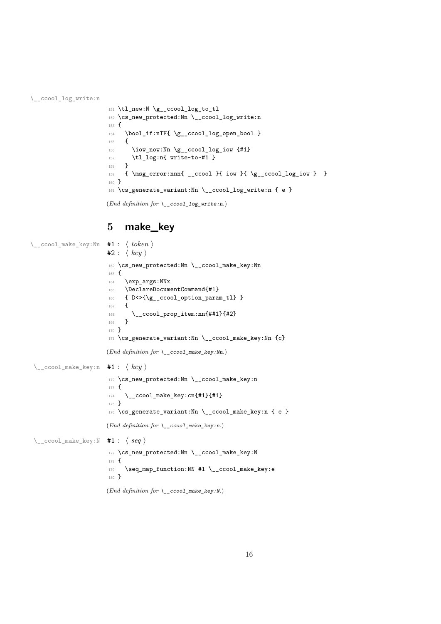\\_\_ccool\_log\_write:n

```
151 \tl_new:N \g__ccool_log_to_tl
152 \cs_new_protected:Nn \__ccool_log_write:n
153 \text{ }154 \bool_if:nTF{ \g__ccool_log_open_bool }
155 {
156 \iow_now:Nn \g__ccool_log_iow {#1}
157 \tl_log:n{ write~to~#1 }
158 }
159 { \msg_error:nnn{ __ccool }{ iow }{ \g__ccool_log_iow } }
160 }
161 \cs_generate_variant:Nn \__ccool_log_write:n { e }
(End definition for \__ccool_log_write:n.)
```
## <span id="page-15-21"></span><span id="page-15-20"></span><span id="page-15-18"></span><span id="page-15-17"></span><span id="page-15-14"></span><span id="page-15-12"></span><span id="page-15-11"></span><span id="page-15-10"></span><span id="page-15-9"></span><span id="page-15-7"></span><span id="page-15-0"></span>**5 make\_key**

```
\__ccool_make_key:Nn #1 : ⟨ token ⟩
                        #2: \langle key \rangle162 \cs_new_protected:Nn \__ccool_make_key:Nn
                        163 \text{ }164 \exp_args:NNx
                        165 \DeclareDocumentCommand{#1}
                        166 { D<>{\g__ccool_option_param_tl} }
                        167 {
                        168 \__ccool_prop_item:nn{##1}{#2}
                        169 }
                        170 }
                        171 \text{ } \csc generate_variant:Nn \_ccool_make_key:Nn {c}
                       (End definition for \__ccool_make_key:Nn.)
 \__ccool_make_key:n #1 : ⟨ key ⟩
                        172 \cs_new_protected:Nn \__ccool_make_key:n
                        173 \text{ }_{174} \__ccool_make_key:cn{#1}{#1}
                        175 }
                        176 \cs_generate_variant:Nn \__ccool_make_key:n { e }
                       (End definition for \__ccool_make_key:n.)
 \__ccool_make_key:N #1 : ⟨ seq ⟩
                        177 \cs_new_protected:Nn \__ccool_make_key:N
                        178 {
                        179 \seq_map_function:NN #1 \__ccool_make_key:e
                        180 }
                       (End definition for \__ccool_make_key:N.)
```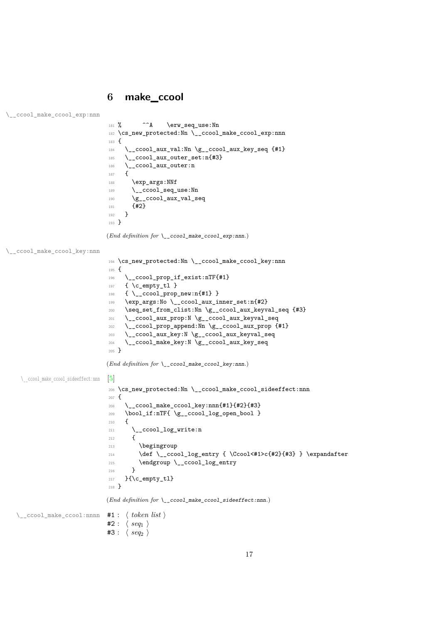## <span id="page-16-0"></span>**6 make\_ccool**

```
\__ccool_make_ccool_exp:nnn
```

```
181 % ^^A \erw_seq_use:Nn
182 \cs_new_protected:Nn \__ccool_make_ccool_exp:nnn
183 {
184 \__ccool_aux_val:Nn \g__ccool_aux_key_seq {#1}
_{185} \__ccool_aux_outer_set:n{#3}
186 \qquad \qquad \setminus \_ \mathsf{ccool\_aux\_outer:n}187 {
188 \exp_args:NNf
189 \__ccool_seq_use:Nn
190 \gtrsim g_{\rm -}ccool_aux_val_seq
\{42\}<br>192 }
192 }
193 }
```
<span id="page-16-29"></span><span id="page-16-28"></span><span id="page-16-26"></span><span id="page-16-25"></span><span id="page-16-23"></span><span id="page-16-22"></span><span id="page-16-21"></span><span id="page-16-20"></span><span id="page-16-19"></span><span id="page-16-18"></span><span id="page-16-13"></span><span id="page-16-12"></span><span id="page-16-9"></span><span id="page-16-8"></span><span id="page-16-7"></span><span id="page-16-5"></span><span id="page-16-4"></span>(*End definition for* \\_\_ccool\_make\_ccool\_exp:nnn*.*)

```
\__ccool_make_ccool_key:nnn
```

```
194 \cs_new_protected:Nn \__ccool_make_ccool_key:nnn
                          195 {
                          196 \__ccool_prop_if_exist:nTF{#1}
                          197 { \c_empty_tl }
                          198 { \__ccool_prop_new:n{#1} }
                          199 \exp_args:No \__ccool_aux_inner_set:n{#2}
                          200 \seq_set_from_clist:Nn \g__ccool_aux_keyval_seq {#3}
                          201 \__ccool_aux_prop:N \g__ccool_aux_keyval_seq
                          202 \__ccool_prop_append:Nn \g__ccool_aux_prop {#1}
                          203 \__ccool_aux_key:N \g__ccool_aux_keyval_seq
                          204 \__ccool_make_key:N \g__ccool_aux_key_seq
                          205 }
                         (End definition for \angle ccool make ccool key:nnn.)
 [5]
                          206 \cs_new_protected:Nn \__ccool_make_ccool_sideeffect:nnn
                          207 \text{ }208 \__ccool_make_ccool_key:nnn{#1}{#2}{#3}
                          209 \bool_if:nTF{ \g__ccool_log_open_bool }
                          210 \{211 \__ccool_log_write:n
                          212 {
                          213 \begingroup
                          214 \def \__ccool_log_entry { \Ccool<#1>c{#2}{#3} } \expandafter
                          215 \endgroup \__ccool_log_entry
                          216 }
                          217 }{\c_empty_tl}
                          218 }
                         (End definition for \__ccool_make_ccool_sideeffect:nnn.)
\__ccool_make_ccool:nnnn #1 : ⟨ token list ⟩
                          #2: \langle seq_1 \rangle#3: \langle seq_2 \rangle
```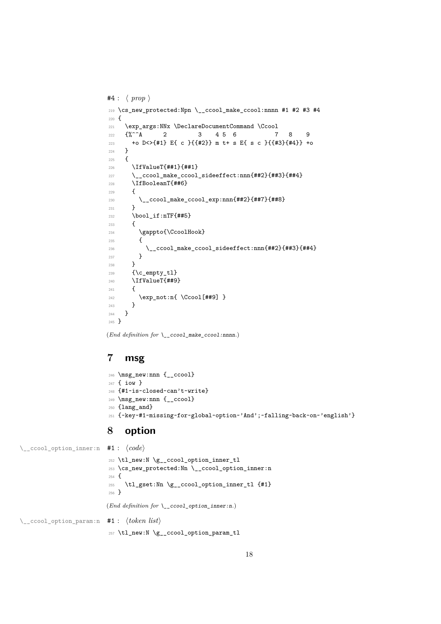```
#4 : ⟨ prop ⟩
219 \cs_new_protected:Npn \__ccool_make_ccool:nnnn #1 #2 #3 #4
220 {
221 \exp_args:NNx \DeclareDocumentCommand \Ccool
222 \quad {\binom{9}{6}}^{\sim} A 2 3 4 5 6 7 8 9
223 +o D<>{#1} E{ c }{{#2}} m t+ s E{ s c }{{#3}{#4}} +o
224 }
225 {
226 \IfValueT{##1}{##1}
227 \__ccool_make_ccool_sideeffect:nnn{##2}{##3}{##4}
228 \IfBooleanT{##6}
229 {
230 \qquad \qquad \sum_{\text{1} \text{ 231}} \qquad \qquad \qquad \qquad \qquad \qquad \qquad \qquad \qquad \qquad \qquad \qquad \qquad \qquad \qquad \qquad \qquad \qquad \qquad \qquad \qquad \qquad \qquad \qquad \qquad \qquad \qquad \qquad \qquad \qquad \qquad \qquad \qquad \qquad \qquad \qquad \qquad \qquad \qquad \qquad \qquad \qquad \q231 }
232 \bool_if:nTF{##5}
233 {
234 \gappto{\CcoolHook}
235 {
\sum_{236} \sum_{\text{1} \text{237}} \sum237 }
238 }
239 {\c empty tl}
240 \IfValueT{##9}
241 {
242 \text{exp\_not:nf} \ \Ccool[ # #9]243 }
244 }
245 }
```
<span id="page-17-21"></span><span id="page-17-18"></span><span id="page-17-13"></span><span id="page-17-7"></span><span id="page-17-4"></span>(*End definition for* \\_\_ccool\_make\_ccool:nnnn*.*)

## <span id="page-17-0"></span>**msg**

```
246 \msg_new:nnn {__ccool}
247 { iow }
248 {#1~is~closed~can't~write}
249 \msg_new:nnn {__ccool}
250 {lang_and}
251 {~key~#1~missing~for~global~option~'And';~falling~back~on~'english'}
```
## <span id="page-17-14"></span><span id="page-17-12"></span><span id="page-17-11"></span><span id="page-17-10"></span><span id="page-17-9"></span><span id="page-17-8"></span><span id="page-17-1"></span>**option**

\\_\_ccool\_option\_inner:n #1 : ⟨*code*⟩ \tl\_new:N \g\_\_ccool\_option\_inner\_tl \cs\_new\_protected:Nn \\_\_ccool\_option\_inner:n  $254 \text{ }$  \tl\_gset:Nn \g\_\_ccool\_option\_inner\_tl {#1} } (*End definition for* \\_\_ccool\_option\_inner:n*.*) \\_\_ccool\_option\_param:n #1 : ⟨*token list*⟩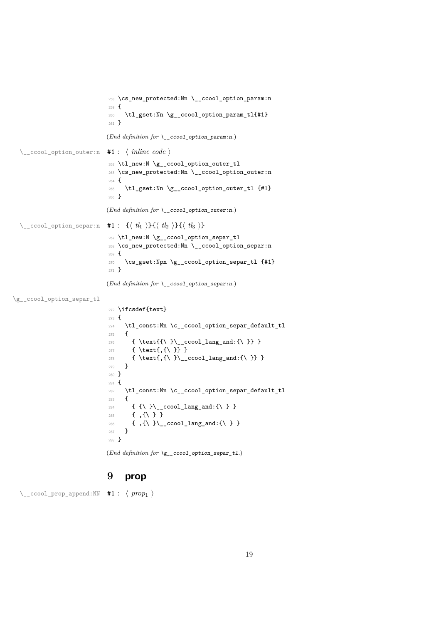```
258 \cs_new_protected:Nn \__ccool_option_param:n
                                         259 {
                                         260 \tl_gset:Nn \g__ccool_option_param_tl{#1}
                                         261 }
                                        (End definition for \__ccool_option_param:n.)
   \__ccool_option_outer:n #1 : ⟨ inline code ⟩
                                         262 \tl_new:N \g__ccool_option_outer_tl
                                         263 \cs_new_protected:Nn \__ccool_option_outer:n
                                         264 \text{ }265 \tl_gset:Nn \g__ccool_option_outer_tl {#1}
                                         266 }
                                        (End definition for \__ccool_option_outer:n.)
  \__ccool_option_separ:n #1 : {⟨ tl1 ⟩}{⟨ tl2 ⟩}{⟨ tl3 ⟩}
                                         267 \tl_new:N \g__ccool_option_separ_tl
                                         268 \cs_new_protected:Nn \__ccool_option_separ:n
                                         269 {
                                         270 \cs_gset:Npn \g__ccool_option_separ_tl {#1}
                                         271 }
                                        (End definition for \__ccool_option_separ:n.)
\g__ccool_option_separ_tl
                                         272 \ifcsdef{text}
                                         273 \text{ }\verb|274| \quad \verb|\tl\_const: Nn \verb|\c_cccool_option_separ_default_t1|275 {
                                         \hbox{$\quad\quad$} \label{thm:main}277 \{ \text{, {\} }\}\hbox{\parbox{12.5in}{\textwidth}{\begin{minipage}{0.99\textwidth}{\begin{minipage}{0.99\textwidth}{\begin{minipage}{0.99\textwidth}{\begin{minipage}{0.99\textwidth}{\begin{minipage}{0.99\textwidth}{\begin{minipage}{0.99\textwidth}{\begin{minipage}{0.99\textwidth}{\begin{minipage}{0.99\textwidth}{\begin{minipage}{0.99\textwidth}{\begin{minipage}{0.99\textwidth}{\begin{minipage}{0.99\textwidth}{\begin{minipage}{0.99\textwidth}{\begin{minipage}{0.99\textwidth}{\begin{minipage}{0279 }
                                         280 }
                                         281 {
                                         282 \tl_const:Nn \c__ccool_option_separ_default_tl
                                         283 {
                                         284 \{ \{\ \} \}_{-\text{ccool\_lang\_and}: \{\ \} \}285 \{ \}, {\ } }
                                         286 \{ \ \} \} ( \{\ \} \} ) \text{120}287 }
                                         288 }
                                        (End definition for \g__ccool_option_separ_tl.)
```
### <span id="page-18-21"></span><span id="page-18-17"></span><span id="page-18-16"></span><span id="page-18-13"></span><span id="page-18-12"></span><span id="page-18-6"></span><span id="page-18-5"></span><span id="page-18-4"></span><span id="page-18-3"></span><span id="page-18-2"></span><span id="page-18-1"></span><span id="page-18-0"></span>**9 prop**

\\_\_ccool\_prop\_append:NN #1 : ⟨ *prop*<sup>1</sup> ⟩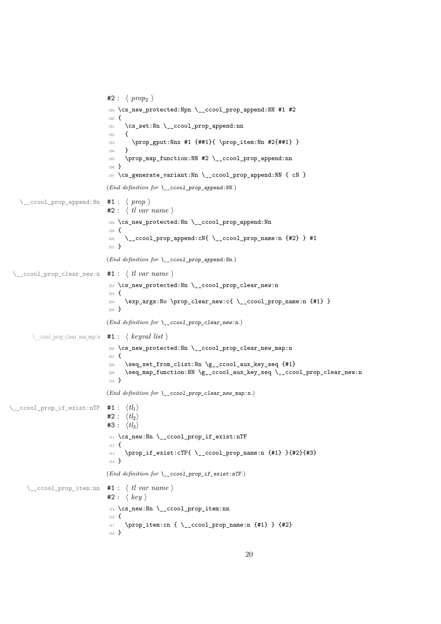```
#2: \langle prop_2 \rangle289 \cs_new_protected:Npn \__ccool_prop_append:NN #1 #2
                               290 {
                               291 \cs_set:Nn \__ccool_prop_append:nn
                               292 {
                               293 \prop_gput:Nnx #1 {##1}{ \prop_item:Nn #2{##1} }
                               294295 \prop_map_function:NN #2 \__ccool_prop_append:nn
                               296 }
                               297 \cs_generate_variant:Nn \__ccool_prop_append:NN { cN }
                              (End definition for \__ccool_prop_append:NN.)
   \__ccool_prop_append:Nn #1 : ⟨ prop ⟩
                              #2 : ⟨ tl var name ⟩
                               298 \cs_new_protected:Nn \__ccool_prop_append:Nn
                               299 {
                               300 \__ccool_prop_append:cN{ \__ccool_prop_name:n {#2} } #1
                               301 - 3(End definition for \__ccool_prop_append:Nn.)
 \__ccool_prop_clear_new:n #1 : ⟨ tl var name ⟩
                               302 \cs_new_protected:Nn \__ccool_prop_clear_new:n
                               303 {
                               304 \exp_args:No \prop_clear_new:c{ \__ccool_prop_name:n {#1} }
                               305 }
                              (End definition for \langle ccool prop clear new:n.)
       \__ccool_prop_clear_new_map:n #1 : ⟨ keyval list ⟩
                               306 \cs_new_protected:Nn \__ccool_prop_clear_new_map:n
                               307 {
                               308 \seq_set_from_clist:Nn \g__ccool_aux_key_seq {#1}
                               309 \seq_map_function:NN \g__ccool_aux_key_seq \__ccool_prop_clear_new:n
                               310 }
                              (End definition for \__ccool_prop_clear_new_map:n.)
\__ccool_prop_if_exist:nTF #1 : ⟨tl1⟩
                              #2: \langle tl_2 \rangle#3 : \langle tl_3 \rangle311 \cs_new:Nn \__ccool_prop_if_exist:nTF
                               312 \frac{1}{2}313 \prop_if_exist:cTF{ \__ccool_prop_name:n {#1} }{#2}{#3}
                               314 }
                              (End definition for \__ccool_prop_if_exist:nTF.)
     \__ccool_prop_item:nn #1 : ⟨ tl var name ⟩
                              #2: \langle key \rangle315 \cs_new:Nn \__ccool_prop_item:nn
                               316 {
                               317 \prop_item:cn { \__ccool_prop_name:n {#1} } {#2}
                               318 }
```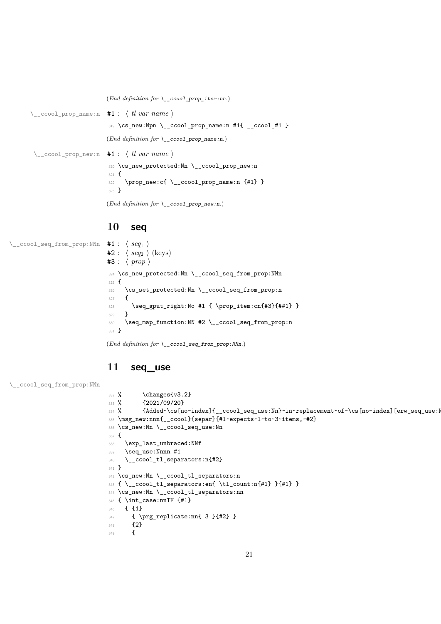<span id="page-20-16"></span><span id="page-20-4"></span><span id="page-20-2"></span>(*End definition for* \\_\_ccool\_prop\_item:nn*.*)

\\_\_ccool\_prop\_name:n #1 : ⟨ *tl var name* ⟩ 319 \cs\_new:Npn \\_\_ccool\_prop\_name:n #1{ \_\_ccool\_#1 } (*End definition for* \\_\_ccool\_prop\_name:n*.*) \\_\_ccool\_prop\_new:n #1 : ⟨ *tl var name* ⟩ <sup>320</sup> \cs\_new\_protected:Nn \\_\_ccool\_prop\_new:n <sup>321</sup> { <sup>322</sup> \prop\_new:c{ \\_\_ccool\_prop\_name:n {#1} } <sup>323</sup> } (*End definition for* \\_\_ccool\_prop\_new:n*.*)

### <span id="page-20-17"></span><span id="page-20-3"></span><span id="page-20-0"></span>**10 seq**

\\_\_ccool\_seq\_from\_prop:NNn #1 : ⟨ *seq*<sup>1</sup> ⟩

<span id="page-20-18"></span><span id="page-20-7"></span><span id="page-20-5"></span> $#2: \langle seq_2 \rangle$  (keys) #3 : ⟨ *prop* ⟩ <sup>324</sup> \cs\_new\_protected:Nn \\_\_ccool\_seq\_from\_prop:NNn <sup>325</sup> { <sup>326</sup> \cs\_set\_protected:Nn \\_\_ccool\_seq\_from\_prop:n  $327$  { <sup>328</sup> \seq\_gput\_right:No #1 { \prop\_item:cn{#3}{##1} } <sup>329</sup> } <sup>330</sup> \seq\_map\_function:NN #2 \\_\_ccool\_seq\_from\_prop:n <sup>331</sup> }

<span id="page-20-23"></span><span id="page-20-6"></span>(*End definition for* \\_\_ccool\_seq\_from\_prop:NNn*.*)

### <span id="page-20-1"></span>**11 seq\_use**

```
\__ccool_seq_from_prop:NNn
```

```
332 % \changes{v3.2}
333 % {2021/09/20}
334 % {Added~\cs[no-index]{_ccool_seq_use:Nn}~in~replacement~of~\cs[no-index][erw_seq_use:Nn]
335 \msg_new:nnn{__ccool}{separ}{#1~expects~1~to~3~items,~#2}
336 \cs_new:Nn \__ccool_seq_use:Nn
337 {
338 \exp_last_unbraced:NNf
339 \seq_use:Nnnn #1
340 \qquad \big\backslash \_ \texttt{ccool\_tl\_separators:} \texttt{n{#2}}341 }
342 \cs_new:Nn \__ccool_tl_separators:n
343 \{ \ \_ccool_t1_separators:en\{ \ t1_count:n{#1} \} {#1} \}344 \cs_new:Nn \__ccool_tl_separators:nn
345 { \int_case:nnTF {#1}
346 { {1}
347 { \prg_replicate:nn{ 3 }{#2} }
348 \{2\}<br>349 \{349
```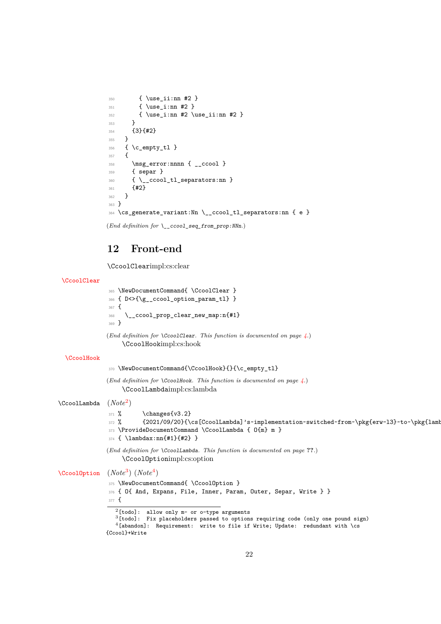```
350 { \use_ii:nn #2 }
351 { \use_i:nn #2 }
352 { \use_i:nn #2 \use_ii:nn #2 }
353 }
354 {3}{#2}
355 }
356 { \c_empty_tl }
357 {
358 \msg_error:nnnn { __ccool }
359 { separ }
360 { \__ccool_tl_separators:nn }
361 {#2}
362 }
363 }
364 \cs_generate_variant:Nn \__ccool_tl_separators:nn { e }
```

```
(End definition for \__ccool_seq_from_prop:NNn.)
```
## <span id="page-21-0"></span>**12 Front-end**

\CcoolClearimpl:cs:clear

#### [\CcoolClear](#page-3-4)

```
365 \NewDocumentCommand{ \CcoolClear }
366 { D<>{\g__ccool_option_param_tl} }
367 \frac{1}{2}368 \__ccool_prop_clear_new_map:n{#1}
369 }
```
<span id="page-21-5"></span>(*End definition for* \CcoolClear*. This function is documented on page [4.](#page-3-4)*) \CcoolHookimpl:cs:hook

#### [\CcoolHook](#page-3-5)

```
370 \NewDocumentCommand{\CcoolHook}{}{\c_empty_tl}
```
(*End definition for* \CcoolHook*. This function is documented on page [4.](#page-3-5)*) \CcoolLambdaimpl:cs:lambda

\CcoolLambda (*Note*[2](#page-21-1)  $(Note^2)$ 

### <span id="page-21-14"></span><span id="page-21-13"></span><span id="page-21-11"></span> $371 \%$  \changes{v3.2} 372 % {2021/09/20}{\cs[CcoolLambda]'s~implementation~switched~from~\pkg{erw-l3}~to~\pkg{lamb <sup>373</sup> \ProvideDocumentCommand \CcoolLambda { O{m} m }

- <span id="page-21-20"></span><span id="page-21-15"></span><sup>374</sup> { \lambdax:nn{#1}{#2} }
- (*End definition for* \CcoolLambda*. This function is documented on page* **??***.*) \CcoolOptionimpl:cs:option

#### [\CcoolOption](#page-3-6) (*Note*[3](#page-21-2) ) (*Note*[4](#page-21-3) )

<span id="page-21-19"></span><span id="page-21-12"></span>375 \NewDocumentCommand{ \CcoolOption }

376 { O{ And, Expans, File, Inner, Param, Outer, Separ, Write } }

 $377 \text{ }$ 

```
2[todo]: allow only m- or o-type arguments
```
<span id="page-21-3"></span><span id="page-21-2"></span> $3$ [todo]: Fix placeholders passed to options requiring code (only one pound sign)

```
4[abandon]: Requirement: write to file if Write; Update: redundant with \cs
{Ccool}+Write
```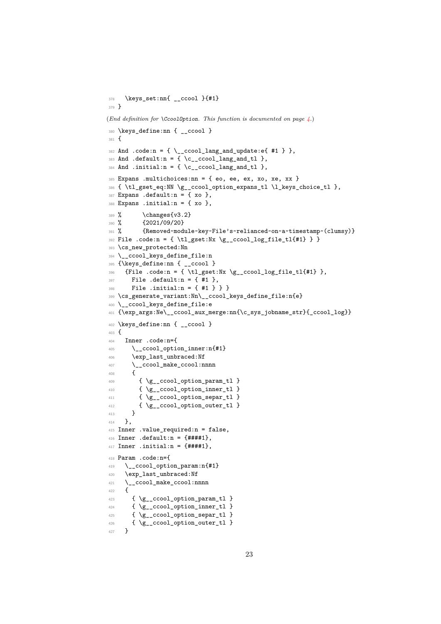```
378 \keys_set:nn{ __ccool }{#1}
379 }
(End definition for \CcoolOption. This function is documented on page 4.)
380 \keys_define:nn { __ccool }
381 {
382 And .code: n = \{ \ \_c \text{cool} \_\text{lang} \_\text{and} \_\text{update}: e\{ \#1 \ \} \},383 And .default:n = {\c ccool lang and tl },
384 And .initial:n = { \c__ccool_lang_and_tl },
385 Expans .multichoices: nn = { eo, ee, ex, xo, xe, xx }
386 { \tl_gset_eq:NN \g__ccool_option_expans_tl \l_keys_choice_tl },
387 Expans .default:n = { xo },
388 Expans .initial:n = { xo },
389 \% \changes{v3.2}
390 % {2021/09/20}
391 % {Removed~module~key~File's~relianced~on~a~timestamp~(clumsy)}
392 File .code:n = { \tl_gset:Nx \g__ccool_log_file_tl{#1} } }
393 \cs_new_protected:Nn
394 \__ccool_keys_define_file:n
395 {\keys_define:nn { __ccool }
396 {File .code:n = { \tl_gset:Nx \g__ccool_log_file_tl{#1} },
397 File .default:n = {#1},
398 File .initial:n = { #1 } } }
399 \cs_generate_variant:Nn\__ccool_keys_define_file:n{e}
400 \__ccool_keys_define_file:e
401 {\exp_args:Ne\__ccool_aux_merge:nn{\c_sys_jobname_str}{_ccool_log}}
402 \keys_define:nn { __ccool }
403 \{404 Inner .code:n={
405 \__ccool_option_inner:n{#1}
406 \exp_last_unbraced:Nf
407 \__ccool_make_ccool:nnnn
408 {
409 { \g__ccool_option_param_tl }
410 { \{ \gtrsim \text{ccool}\_\text{option}\_\text{inner}\_\text{t} \}411 { \{ \g_ccool_option_separ_tl }
412 \{ \gtrsim \text{ccool\_option\_outer\_tl } \}413 }
414 },
415 Inner .value_required:n = false,
416 Inner .default:n = {####1},
417 Inner .initial:n = {###1},
418 Param .code:n={
419 \__ccool_option_param:n{#1}
420 \exp_last_unbraced:Nf
421 \__ccool_make_ccool:nnnn
422 {
423 { \g__ccool_option_param_tl }
424 { \g__ccool_option_inner_tl }
425 { \gtrsim { \gtrsim ccool_option_separ_tl }
426 { \g__ccool_option_outer_tl }
427 }
```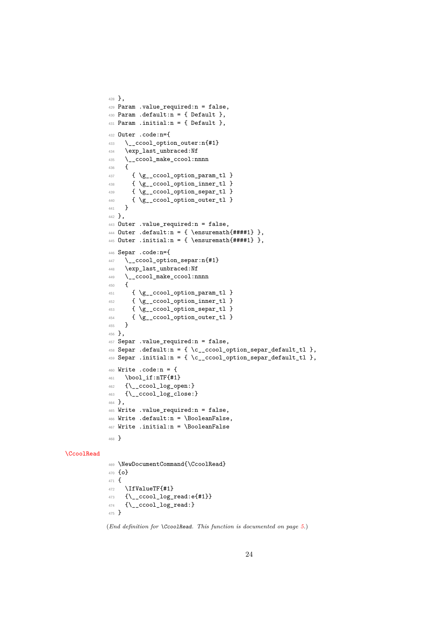```
428 },
429 Param .value_required:n = false,
430 Param .default:n = \{ Default \},431 Param .initial:n = { Default },
432 Outer .code:n={
433 \__ccool_option_outer:n{#1}
434 \exp_last_unbraced:Nf
435 \__ccool_make_ccool:nnnn
436 \sim f
437 { \gtrsim { \gtrsim ccool_option_param_tl }
438 { \gtrsim { \gtrsim ccool_option_inner_tl }
439 { \gtrsim { \gtrsim ccool_option_separ_tl }
440 { \gtrsim { \gtrsim ccool_option_outer_tl }
441 }
442 },
443 Outer .value_required:n = false,
444 Outer .default:n = { \ensuremath{####1} },
445 Outer .initial:n = { \ensuremath{####1} },
446 Separ .code:n={
447 \__ccool_option_separ:n{#1}
448 \exp_last_unbraced:Nf
449 \__ccool_make_ccool:nnnn
450 \sim f
451 { \gtrsim (\gtrsim ccool_option_param_tl }
452 { \g__ccool_option_inner_tl }
453 { \g__ccool_option_separ_tl }
454 { \g__ccool_option_outer_tl }
455 }
456 },
457 Separ .value_required:n = false,
458 Separ .default:n = { \c__ccool_option_separ_default_tl },
459 Separ .initial:n = { \c__ccool_option_separ_default_tl },
460 Write .code:n = {
461 \bool_if:nTF{#1}
462 {\__ccool_log_open:}
463 {\__ccool_log_close:}
464 },
465 Write .value_required:n = false,
466 Write .default:n = \BooleanFalse,
467 Write .initial:n = \BooleanFalse
468 }
```
#### <span id="page-23-20"></span><span id="page-23-18"></span><span id="page-23-17"></span><span id="page-23-15"></span><span id="page-23-13"></span><span id="page-23-10"></span>[\CcoolRead](#page-4-4)

<span id="page-23-27"></span><span id="page-23-26"></span><span id="page-23-21"></span><span id="page-23-4"></span><span id="page-23-3"></span><span id="page-23-2"></span><span id="page-23-1"></span><span id="page-23-0"></span> \NewDocumentCommand{\CcoolRead} {o} 471  $\{$ 472 \IfValueTF{#1} {\\_\_ccool\_log\_read:e{#1}} 474 {\\_\_ccool\_log\_read:} }

<span id="page-23-6"></span><span id="page-23-5"></span>(*End definition for* \CcoolRead*. This function is documented on page [5.](#page-4-4)*)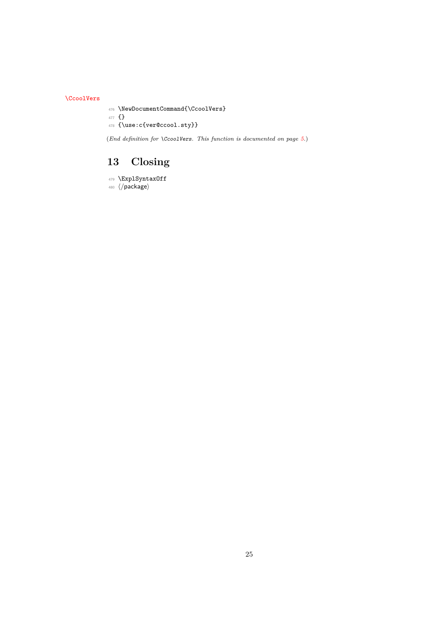[\CcoolVers](#page-4-5)

<span id="page-24-3"></span><span id="page-24-1"></span>\NewDocumentCommand{\CcoolVers}

<span id="page-24-4"></span> {} {\use:c{ver@ccool.sty}}

(*End definition for* \CcoolVers*. This function is documented on page [5.](#page-4-5)*)

## <span id="page-24-0"></span>**13 Closing**

<span id="page-24-2"></span> \ExplSyntaxOff ⟨*/*package⟩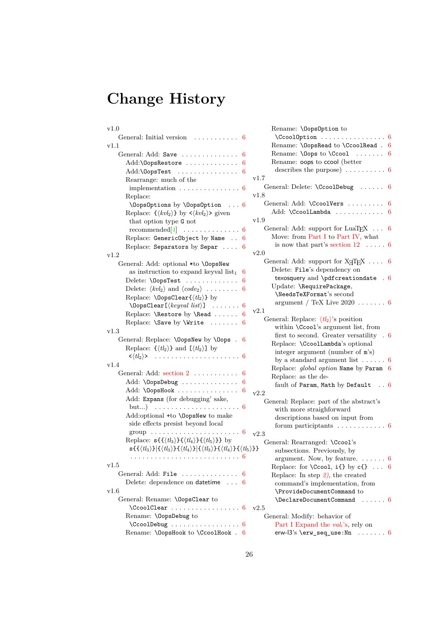# <span id="page-25-1"></span><span id="page-25-0"></span>**Change History**

| $_{\rm v1.0}$                                                                                                                                                                                                                                                           |         |
|-------------------------------------------------------------------------------------------------------------------------------------------------------------------------------------------------------------------------------------------------------------------------|---------|
| General: Initial version<br>.                                                                                                                                                                                                                                           | 6       |
| v1.1                                                                                                                                                                                                                                                                    |         |
| General: Add: Save                                                                                                                                                                                                                                                      | 6       |
| Add:\0opsRestore                                                                                                                                                                                                                                                        | 6       |
| Add:\0opsTest                                                                                                                                                                                                                                                           | 6       |
| Rearrange: much of the                                                                                                                                                                                                                                                  | v1      |
| implementation $\ldots \ldots \ldots \ldots \ldots 6$                                                                                                                                                                                                                   |         |
| Replace:                                                                                                                                                                                                                                                                | v1      |
| \OopsOptions by \OopsOption<br>. 6                                                                                                                                                                                                                                      |         |
| Replace: $\{\langle kvl_2\rangle\}$ by $\langle kvl_2\rangle$ given                                                                                                                                                                                                     |         |
| that option type G not                                                                                                                                                                                                                                                  | v1      |
| recommended[4]<br>$\sim$ 100 km and 100 km and 100 km and 100 km and 100 km and 100 km and 100 km and 100 km and 100 km and 100 km and 100 km and 100 km and 100 km and 100 km and 100 km and 100 km and 100 km and 100 km and 100 km and 100 km                        | 6       |
| Replace: GenericObject by Name                                                                                                                                                                                                                                          | 6       |
| Replace: Separators by Separ                                                                                                                                                                                                                                            | 6       |
| v1.2                                                                                                                                                                                                                                                                    | v2      |
| General: Add: optional *to \0opsNew                                                                                                                                                                                                                                     |         |
| as instruction to expand key<br>val $\mathrm{list}_1$                                                                                                                                                                                                                   | 6       |
| Delete: \0opsTest                                                                                                                                                                                                                                                       | 6       |
| Delete: $\langle kvl_2 \rangle$ and $\langle code_2 \rangle$                                                                                                                                                                                                            | 6       |
| Replace: <b>\OopsClear{</b> $\langle tl_2 \rangle$ } by                                                                                                                                                                                                                 |         |
| $\Omega$ \OopsClear[ $\langle keyval\ list \rangle$ ]                                                                                                                                                                                                                   | 6<br>v2 |
| Replace: \Restore by \Read                                                                                                                                                                                                                                              | 6       |
| Replace: \Save by \Write                                                                                                                                                                                                                                                | 6       |
| v1.3                                                                                                                                                                                                                                                                    |         |
| General: Replace: \OopsNew by \Oops .                                                                                                                                                                                                                                   | 6       |
| Replace: $\{\langle tl_2 \rangle\}$ and $[\langle tl_2 \rangle]$ by                                                                                                                                                                                                     |         |
|                                                                                                                                                                                                                                                                         |         |
| v1.4                                                                                                                                                                                                                                                                    |         |
| General: Add: section 2                                                                                                                                                                                                                                                 | 6       |
| Add: \OopsDebug                                                                                                                                                                                                                                                         | 6       |
| Add: \OopsHook                                                                                                                                                                                                                                                          | 6<br>v2 |
| Add: Expans (for debugging' sake,                                                                                                                                                                                                                                       |         |
| but)                                                                                                                                                                                                                                                                    | 6       |
| Add:optional +to \0opsNew to make                                                                                                                                                                                                                                       |         |
| side effects presist beyond local                                                                                                                                                                                                                                       |         |
| group                                                                                                                                                                                                                                                                   | v2      |
| Replace: $s\{\{\langle tl_3 \rangle\}\{\langle tl_4 \rangle\}\}\{\langle tl_5 \rangle\}\}$ by<br>$\mathbf{s}\{\{\langle tl_3 \rangle\}\  \{\langle tl_3 \rangle\}\{\langle tl_4 \rangle\}\  \{\langle tl_3 \rangle\}\{\langle tl_4 \rangle\}\{\langle tl_5 \rangle\}\}$ |         |
|                                                                                                                                                                                                                                                                         |         |
| v1.5                                                                                                                                                                                                                                                                    |         |
| General: Add: File                                                                                                                                                                                                                                                      | 6       |
| Delete: dependence on datetime  6                                                                                                                                                                                                                                       |         |
| v1.6                                                                                                                                                                                                                                                                    |         |
| General: Rename: \OopsClear to                                                                                                                                                                                                                                          |         |
| $\text{CcoolClear} \dots \dots \dots \dots \dots \dots \dots$                                                                                                                                                                                                           | v2      |
| Rename: \OopsDebug to                                                                                                                                                                                                                                                   |         |
| $\text{CcoolDebug} \dots \dots \dots \dots \dots \dots \dots$                                                                                                                                                                                                           |         |
| Rename: \OopsHook to \CcoolHook . 6                                                                                                                                                                                                                                     |         |
|                                                                                                                                                                                                                                                                         |         |

| Rename: \OopsOption to                               |   |
|------------------------------------------------------|---|
| . 6<br>\CcoolOption                                  |   |
| Rename: \OopsRead to \CcoolRead . 6                  |   |
| Rename: $\O{Oops}$ to $\C{cool}$ 6                   |   |
| Rename: oops to ccool (better                        |   |
| describes the purpose) $\ldots \ldots \ldots 6$      |   |
| v1.7                                                 |   |
|                                                      | 6 |
| General: Delete: \CcoolDebug                         |   |
| v1.8                                                 |   |
| General: Add: \CcoolVers                             | 6 |
| Add: \CcoolLambda                                    | 6 |
| $_{\rm v1.9}$                                        |   |
| General: Add: support for LuaT <sub>E</sub> X        | 6 |
| Move: from Part I to Part IV, what                   |   |
| is now that part's section $12 \ldots$ .             | 6 |
| v2.0                                                 |   |
| General: Add: support for $X \nsubseteq T$ 6         |   |
| Delete: File's dependency on                         |   |
| texosquery and $\partial$ texosquery and $\partial$  |   |
| Update: \RequirePackage,                             |   |
| \NeedsTeXFormat's second                             |   |
| argument / TeX Live $2020$ 6                         |   |
| v2.1                                                 |   |
| General: Replace: $\langle tl_2 \rangle$ 's position |   |
| within \Ccool's argument list, from                  |   |
| first to second. Greater versatility $.6$            |   |
|                                                      |   |
| Replace: \CcoolLambda's optional                     |   |
| integer argument (number of m's)                     |   |
| by a standard argument list $\ldots \ldots 6$        |   |
| Replace: global option Name by Param 6               |   |
| Replace: as the de-                                  |   |
| fault of Param, Math by Default $\ldots$ 6           |   |
| v2.2                                                 |   |
| General: Replace: part of the abstract's             |   |
| with more straighforward                             |   |
| descriptions based on input from                     |   |
| forum participtants<br>. 6                           |   |
| v2.3                                                 |   |
| General: Rearranged: \Ccool's                        |   |
| }}<br>subsections. Previously, by                    |   |
| argument. Now, by feature. $\dots \dots 6$           |   |
| Replace: for $\text{Ccool}, i\{\}$ by $c\{\}$ 6      |   |
| Replace: In step $2$ , the created                   |   |
| command's implementation, from                       |   |
| \ProvideDocumentCommand to                           |   |
| \DeclareDocumentCommand<br>. 6                       |   |
| v2.5                                                 |   |
|                                                      |   |
| General: Modify: behavior of                         |   |
| Part I Expand the vali's, rely on                    |   |
| erw- $13's \terw\_seq\_use:Nn \ldots 6$              |   |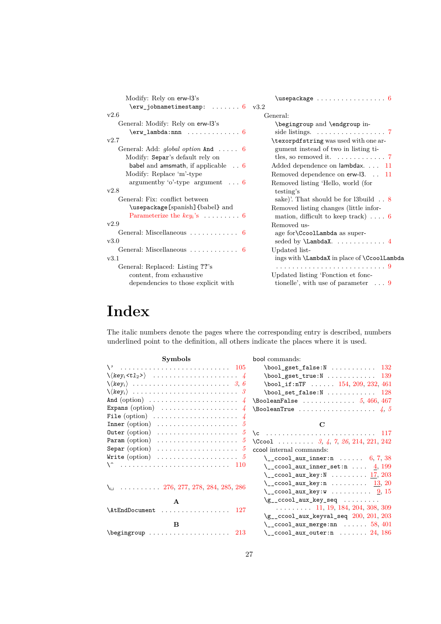<span id="page-26-1"></span>

| Modify: Rely on erw-13's                               | $\{$ usepackage $\ldots \ldots \ldots \ldots \ 6$         |
|--------------------------------------------------------|-----------------------------------------------------------|
| $\ker$ jobnametimestamp:  6 $v3.2$                     |                                                           |
| v2.6                                                   | General:                                                  |
| General: Modify: Rely on erw-13's                      | \begingroup and \endgroup in-                             |
|                                                        | side listings. $\ldots \ldots \ldots \ldots \ldots$ 7     |
| v2.7                                                   | \texorpdfstring was used with one ar-                     |
| General: Add: global option And  6                     | gument instead of two in listing ti-                      |
| Modify: Separ's default rely on                        | tles, so removed it. $\dots \dots \dots \dots$ 7          |
| babel and amsmath, if applicable 6                     | Added dependence on lambdax. 11                           |
| Modify: Replace 'm'-type                               | Removed dependence on erw-13. . 11                        |
| argument by 'o'-type argument $\ldots$ 6<br>v2.8       | Removed listing 'Hello, world (for<br>testing's           |
| General: Fix: conflict between                         | sake). That should be for l3build $\ldots$ 8              |
| \usepackage [spanish] {babel} and                      | Removed listing changes (little infor-                    |
| Parameterize the $key_i$ 's $\ldots \ldots \ldots 6$   | mation, difficult to keep track) $\dots$ 6                |
| v2.9                                                   | Removed us-                                               |
| General: Miscellaneous $\ldots \ldots \ldots \ldots 6$ | age for CcoolLambda as super-                             |
| v3.0                                                   |                                                           |
| General: Miscellaneous $\dots \dots \dots \dots$ 6     | Updated list-                                             |
| v3.1                                                   | ings with <b>\LambdaX</b> in place of <b>\CcoolLambda</b> |
| General: Replaced: Listing ??'s                        |                                                           |
| content, from exhaustive                               | Updated listing 'Fonction et fonc-                        |
| dependencies to those explicit with                    | tionelle', with use of parameter $\ldots$ 9               |
|                                                        |                                                           |

## <span id="page-26-0"></span>**Index**

The italic numbers denote the pages where the corresponding entry is described, numbers underlined point to the definition, all others indicate the places where it is used.

| Symbols                                                           |               |
|-------------------------------------------------------------------|---------------|
| $\vee$                                                            |               |
|                                                                   |               |
|                                                                   |               |
|                                                                   |               |
|                                                                   | $\frac{1}{4}$ |
| Expans $\text{(option)} \dots \dots \dots \dots \dots \dots$      | $\frac{1}{4}$ |
|                                                                   | $\frac{1}{4}$ |
| $Inner (option) \dots \dots \dots \dots \dots \dots$              | 5             |
| $\text{Outer}(\text{option}) \dots \dots \dots \dots \dots \dots$ | 5             |
| Param $\text{(option)} \dots \dots \dots \dots \dots \dots \dots$ | 5             |
| Separ $\text{(option)} \dots \dots \dots \dots \dots \dots \dots$ | 5             |
| Write $\text{(option)} \dots \dots \dots \dots \dots \dots \dots$ | 5             |
| ^ ۱                                                               |               |
|                                                                   |               |
| $\ldots \ldots \ldots 276, 277, 278, 284, 285, 286$<br>Au         |               |
| $\mathbf{A}$                                                      |               |
| .<br><b>\AtEndDocument</b><br>127                                 |               |
| B                                                                 |               |
| \begingroup<br>213                                                |               |

| bool commands:                                                                                                                                                                                                                                                                                                                                                                                                                                                                                                                                                                          |
|-----------------------------------------------------------------------------------------------------------------------------------------------------------------------------------------------------------------------------------------------------------------------------------------------------------------------------------------------------------------------------------------------------------------------------------------------------------------------------------------------------------------------------------------------------------------------------------------|
| $\boldsymbol{\lambda}$ \bool_gset_false:N  132                                                                                                                                                                                                                                                                                                                                                                                                                                                                                                                                          |
| $\boldsymbol{\lambda}$ \bool_gset_true:N 139                                                                                                                                                                                                                                                                                                                                                                                                                                                                                                                                            |
| $\b{bool_if:nTF}$ 154, 209, 232, 461                                                                                                                                                                                                                                                                                                                                                                                                                                                                                                                                                    |
| $\boldsymbol{\lambda}$ $\boldsymbol{\lambda}$ $\boldsymbol{\lambda}$ $\boldsymbol{\lambda}$ $\boldsymbol{\lambda}$ $\boldsymbol{\lambda}$ $\boldsymbol{\lambda}$ $\boldsymbol{\lambda}$ $\boldsymbol{\lambda}$ $\boldsymbol{\lambda}$ $\boldsymbol{\lambda}$ $\boldsymbol{\lambda}$ $\boldsymbol{\lambda}$ $\boldsymbol{\lambda}$ $\boldsymbol{\lambda}$ $\boldsymbol{\lambda}$ $\boldsymbol{\lambda}$ $\boldsymbol{\lambda}$ $\boldsymbol{\lambda}$ $\boldsymbol{\lambda}$ $\boldsymbol{\lambda}$ $\boldsymbol{\lambda}$ $\boldsymbol{\lambda}$ $\boldsymbol{\lambda}$ $\boldsymbol{\$ |
|                                                                                                                                                                                                                                                                                                                                                                                                                                                                                                                                                                                         |
|                                                                                                                                                                                                                                                                                                                                                                                                                                                                                                                                                                                         |
|                                                                                                                                                                                                                                                                                                                                                                                                                                                                                                                                                                                         |
| С                                                                                                                                                                                                                                                                                                                                                                                                                                                                                                                                                                                       |
| $\c$ 117                                                                                                                                                                                                                                                                                                                                                                                                                                                                                                                                                                                |
| \Ccool $3, 4, 7, 26, 214, 221, 242$                                                                                                                                                                                                                                                                                                                                                                                                                                                                                                                                                     |
| ccool internal commands:                                                                                                                                                                                                                                                                                                                                                                                                                                                                                                                                                                |
| $\setminus$ _ccool_aux_inner:n  6, 7, 38                                                                                                                                                                                                                                                                                                                                                                                                                                                                                                                                                |
| $\setminus$ _ccool_aux_inner_set:n  4, 199                                                                                                                                                                                                                                                                                                                                                                                                                                                                                                                                              |
| \__ccool_aux_key:N $\ldots \ldots \ldots \frac{17}{203}$                                                                                                                                                                                                                                                                                                                                                                                                                                                                                                                                |
| $\setminus$ _ccool_aux_key:n  13, 20                                                                                                                                                                                                                                                                                                                                                                                                                                                                                                                                                    |
| $\setminus$ _ccool_aux_key:w  9, 15                                                                                                                                                                                                                                                                                                                                                                                                                                                                                                                                                     |
| $\gtrsim$ _ccool_aux_key_seq                                                                                                                                                                                                                                                                                                                                                                                                                                                                                                                                                            |
| $\ldots$ 11, 19, 184, 204, 308, 309                                                                                                                                                                                                                                                                                                                                                                                                                                                                                                                                                     |
| $\gtrsim$ _ccool_aux_keyval_seq $200, 201, 203$                                                                                                                                                                                                                                                                                                                                                                                                                                                                                                                                         |
| $\setminus$ _ccool_aux_merge:nn  58, 401                                                                                                                                                                                                                                                                                                                                                                                                                                                                                                                                                |
| $\setminus$ _ccool_aux_outer:n  24, 186                                                                                                                                                                                                                                                                                                                                                                                                                                                                                                                                                 |
|                                                                                                                                                                                                                                                                                                                                                                                                                                                                                                                                                                                         |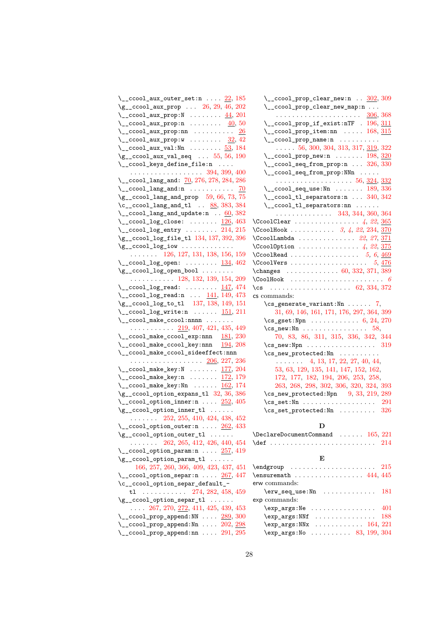| $\setminus$ _ccool_aux_outer_set:n $\ldots$ 22, 185                                                    |
|--------------------------------------------------------------------------------------------------------|
| $\gtrsim$ _ccool_aux_prop  26, 29, 46, 202                                                             |
| $\setminus$ _ccool_aux_prop:N  44, 201                                                                 |
| $\setminus$ _ccool_aux_prop:n  40,50                                                                   |
| $\setminus$ _ccool_aux_prop:nn <u>26</u>                                                               |
|                                                                                                        |
| \__ccool_aux_prop:w $\frac{32}{12}$ , 42<br>\__ccool_aux_val:Nn  53, 184                               |
| $\gtrsim$ _ccool_aux_val_seq  55, 56, 190                                                              |
| \__ccool_keys_define_file:n                                                                            |
| . 394, 399, 400                                                                                        |
| $\mathcal{L}_{\texttt{-} \texttt{ccool\_lang\_and:}}$ $\frac{70}{276}$ , $276$ , $278$ , $284$ , $286$ |
| $\setminus$ _ccool_lang_and:n  70                                                                      |
| $\gtrsim$ <sub>1</sub> ccool_lang_and_prop 59, 66, 73, 75                                              |
| $\c$ _ccool_lang_and_tl $\ldots$ 88, 383, 384                                                          |
| $\setminus$ _ccool_lang_and_update:n $\ldots$ 60, 382                                                  |
|                                                                                                        |
| $\setminus$ _ccool_log_close: <u>126</u> , 463                                                         |
| $\setminus$ _ccool_log_entry  214, 215                                                                 |
| $\g$ _ccool_log_file_tl $134, 137, 392, 396$                                                           |
| $\gtrsim$ ccool log_iow                                                                                |
| $\ldots$ $\ldots$ 126, 127, 131, 138, 156, 159                                                         |
| $\setminus$ _ccool_log_open:  134, 462                                                                 |
| $\gtrsim$ _ccool_log_open_bool                                                                         |
| $\ldots \ldots \ldots 128, 132, 139, 154, 209$                                                         |
| $\setminus$ _ccool_log_read: <u>147,</u> 474                                                           |
| $\lceil 2 \cdot 2 \rceil$ _ccool_log_read:n  141, 149, 473                                             |
|                                                                                                        |
|                                                                                                        |
| \g__ccool_log_to_tl 137, 138, 149, 151                                                                 |
| $\setminus$ _ccool_log_write:n  151, 211                                                               |
| $\_{\_cc}$ ccool_make_ccool:nnnn                                                                       |
| $\cdots$ 219, 407, 421, 435, 449                                                                       |
| $\verb \ccol_make_ccool_exp:nnn 481, 230 $                                                             |
| $\setminus$ _ccool_make_ccool_key:nnn $194, 208$                                                       |
| \__ccool_make_ccool_sideeffect:nnn                                                                     |
| . <u>206,</u> 227, 236                                                                                 |
| $\setminus$ _ccool_make_key:N  177, 204                                                                |
| $\setminus$ _ccool_make_key:n <u>172,</u> 179                                                          |
| $\setminus$ _ccool_make_key:Nn  162, 174                                                               |
| $\gtrsim$ _ccool_option_expans_tl 32, 36, 386                                                          |
| $\setminus$ _ccool_option_inner:n $252, 405$                                                           |
| $\gtrsim$ _ccool_option_inner_tl                                                                       |
| $\ldots$ $\ldots$ 252, 255, 410, 424, 438, 452                                                         |
| $\setminus$ _ccool_option_outer:n  262, 433                                                            |
| \g__ccool_option_outer_tl                                                                              |
| $\ldots \ldots$ 262, 265, 412, 426, 440, 454                                                           |
| $\setminus$ _ccool_option_param:n  257, 419                                                            |
| \g__ccool_option_param_tl                                                                              |
| 166, 257, 260, 366, 409, 423, 437, 451                                                                 |
|                                                                                                        |
| \__ccool_option_separ:n  267, 447                                                                      |
| \c__ccool_option_separ_default_-                                                                       |
| t1 274, 282, 458, 459                                                                                  |
| $\gtrsim$ _ccool_option_separ_tl                                                                       |
| $\ldots$ 267, 270, 272, 411, 425, 439, 453                                                             |
| $\setminus$ _ccool_prop_append:NN $289, 300$                                                           |
| $\setminus$ _ccool_prop_append:Nn  202, 298<br>$\setminus$ _ccool_prop_append:nn  291, 295             |

| $\setminus$ _ccool_prop_clear_new:n $\ldots$ 302, 309                       |
|-----------------------------------------------------------------------------|
| \__ccool_prop_clear_new_map:n                                               |
|                                                                             |
| 306, 368<br>\_ccool_prop_if_exist:nTF . 196, 311                            |
| $\setminus$ _ccool_prop_item:nn  168, 315                                   |
| $\setminus$ _ccool_prop_name:n                                              |
| $\ldots$ 56, 300, 304, 313, 317, 319, 322                                   |
| $\setminus$ _ccool_prop_new:n  198, 320                                     |
| $\setminus$ _ccool_seq_from_prop:n  326, 330                                |
| $\setminus$ _ccool_seq_from_prop:NNn                                        |
|                                                                             |
| $\lvert \$ _ccool_seq_use:Nn  189, 336                                      |
| $\setminus$ _ccool_tl_separators:n  340, 342                                |
| \__ccool_tl_separators:nn                                                   |
| $\cdots \cdots \cdots \cdots \cdots$ 343, 344, 360, 364                     |
| $\text{CcoolClear } \ldots \ldots \ldots \ldots 4, 22, \underline{365}$     |
| $\text{CcoolHook } \ldots \ldots \ldots \quad 3, 4, 22, 234, \frac{370}{2}$ |
| $\text{CcoolLambda}$ 22, 27, 371                                            |
| $\text{CcoolOption}$ 4, 22, 375                                             |
| \CcoolRead $5, 6, \underline{469}$                                          |
| \CcoolVers $5, \frac{476}{1}$                                               |
| \changes 60, 332, 371, 389                                                  |
|                                                                             |
| \cs  62, 334, 372                                                           |
| cs commands:                                                                |
| $\csc$ generate_variant:Nn  7,                                              |
| 31, 69, 146, 161, 171, 176, 297, 364, 399                                   |
| $\csc_2$ gset:Npn  6, 24, 270                                               |
| $\csc_1$ new:Nn  58,                                                        |
| 70, 83, 86, 311, 315, 336, 342, 344                                         |
| $\cos_{new}$ : Npn 319                                                      |
| $\csc_1$ new_protected:Nn                                                   |
| $\ldots$ 4, 13, 17, 22, 27, 40, 44,                                         |
| 53, 63, 129, 135, 141, 147, 152, 162,                                       |
| 172, 177, 182, 194, 206, 253, 258,                                          |
| 263, 268, 298, 302, 306, 320, 324, 393                                      |
| $\cs{29}$                                                                   |
| $\csc$ set:Nn 291                                                           |
| $\csc$ set_protected:Nn  326                                                |
|                                                                             |

## **D**

| $\Delta$ 165, 221 |  |  |  |  |  |  |  |  |  |  |  |  |  |
|-------------------|--|--|--|--|--|--|--|--|--|--|--|--|--|
|                   |  |  |  |  |  |  |  |  |  |  |  |  |  |

### **E**

| erw commands:                                 |  |
|-----------------------------------------------|--|
| $\text{Cov}$ seq_use:Nn  181                  |  |
| exp commands:                                 |  |
| $\exp_args:$ Ne  401                          |  |
| $\exp_args: NMF$ 188                          |  |
| $\exp_args: NNx \dots \dots \dots \ 164, 221$ |  |
| \exp_args:No  83, 199, 304                    |  |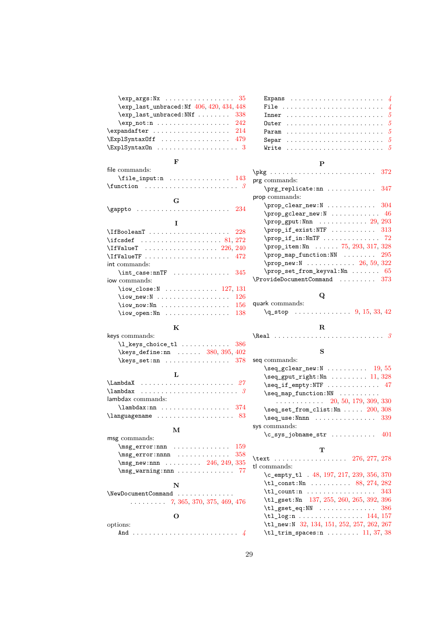| $\exp_{\text{args}}:\N_{\mathbf{X}} \dots \dots \dots \dots \quad 35$ |  |
|-----------------------------------------------------------------------|--|
| \exp_last_unbraced:Nf 406, 420, 434, 448                              |  |
| $\exp_1$ ast_unbraced:NNf  338                                        |  |
| $\exp_{\texttt{not:n}} \dots \dots \dots \dots \dots 242$             |  |
| $\exp\{214$                                                           |  |
| $\text{ExplSyntaxOff}$ 479                                            |  |
| $\ExplSyntzOn      3$                                                 |  |

#### **F**

| file commands:                                                                             |     |
|--------------------------------------------------------------------------------------------|-----|
|                                                                                            |     |
| $\verb \function  \dots  \dots  \dots  \dots  \dots  \dots$                                |     |
| G                                                                                          |     |
|                                                                                            |     |
| $\qquad \qquad \text{logappto} \quad \ldots \ldots \ldots \ldots \ldots \qquad \qquad 234$ |     |
| I                                                                                          |     |
| $\left\{\text{IfBoolean T}\right.\dots\dots\dots\dots\dots\quad228$                        |     |
| $\left\{\text{ifcsdef}\ \dots \dots \dots \dots \dots \ 81, \, 272\right\}$                |     |
|                                                                                            |     |
| $\Upsilon$ if ValueTF $\ldots \ldots \ldots \ldots \ldots$                                 |     |
| int commands:                                                                              |     |
| $\int \text{case:}\n\pi$ 345                                                               |     |
| jow commands:                                                                              |     |
| $\iota$ /iow_close:N  127, 131                                                             |     |
|                                                                                            | 126 |
|                                                                                            | 156 |
|                                                                                            | 138 |
|                                                                                            |     |

## **K**

| keys commands:                              |  |
|---------------------------------------------|--|
| $\lceil$ keys choice tl  386                |  |
| $\text{keys_define:nn} \dots$ 380, 395, 402 |  |
|                                             |  |
|                                             |  |

| lambdax commands:         |  |  |  |  |  |  |  |  |  |  |  |  |  |  |
|---------------------------|--|--|--|--|--|--|--|--|--|--|--|--|--|--|
| $\lambda$ lambdax:nn  374 |  |  |  |  |  |  |  |  |  |  |  |  |  |  |
|                           |  |  |  |  |  |  |  |  |  |  |  |  |  |  |

#### **M**

| msg commands:                      |  |  |  |  |  |  |  |  |  |  |  |  |  |
|------------------------------------|--|--|--|--|--|--|--|--|--|--|--|--|--|
| $\text{msg\_error:nnn}$ 159        |  |  |  |  |  |  |  |  |  |  |  |  |  |
| $\text{msg\_error:nnnn}$ 358       |  |  |  |  |  |  |  |  |  |  |  |  |  |
| $\text{msg_new:nnn}$ 246, 249, 335 |  |  |  |  |  |  |  |  |  |  |  |  |  |
| $\text{msg\_warming:nnn    77}$    |  |  |  |  |  |  |  |  |  |  |  |  |  |
|                                    |  |  |  |  |  |  |  |  |  |  |  |  |  |

 $\label{lem:conv} \verb|NewDocumentCommand | \verb| . . . . . . . . . . .$ . . . . . . . . . *[7](#page-6-12)*, [365,](#page-21-17) [370,](#page-21-18) [375,](#page-21-19) [469,](#page-23-27) [476](#page-24-3)

| . .<br>I<br>ć<br>×<br>×. | I<br>٦<br>۰.<br>۰. |
|--------------------------|--------------------|
|                          |                    |

| ions: |  |  |  |  |  |  |  |  |  |  |  |  |  |  |
|-------|--|--|--|--|--|--|--|--|--|--|--|--|--|--|
|       |  |  |  |  |  |  |  |  |  |  |  |  |  |  |

options:

| File  4                                                    |  |  |  |  |  |  |  |  |  |  |  |  |  |
|------------------------------------------------------------|--|--|--|--|--|--|--|--|--|--|--|--|--|
|                                                            |  |  |  |  |  |  |  |  |  |  |  |  |  |
|                                                            |  |  |  |  |  |  |  |  |  |  |  |  |  |
|                                                            |  |  |  |  |  |  |  |  |  |  |  |  |  |
|                                                            |  |  |  |  |  |  |  |  |  |  |  |  |  |
| Write $\ldots \ldots \ldots \ldots \ldots \ldots \ldots 5$ |  |  |  |  |  |  |  |  |  |  |  |  |  |
|                                                            |  |  |  |  |  |  |  |  |  |  |  |  |  |

### **P**

| prg commands:                                                                                                                          |  |
|----------------------------------------------------------------------------------------------------------------------------------------|--|
| $\pr$ g replicate:nn  347                                                                                                              |  |
| prop commands:                                                                                                                         |  |
| $\preccurlyeq$ $\preccurlyeq$ $\preccurlyeq$ $\preccurlyeq$ $\preccurlyeq$ $\preccurlyeq$ $\preccurlyeq$ $\preccurlyeq$ $\preccurlyeq$ |  |
| $\preccurlyeq$ $\preccurlyeq$ $\preccurlyeq$ $\preccurlyeq$ $\preccurlyeq$ $\preccurlyeq$ $\preccurlyeq$                               |  |
| $\preccurlyeq 29, 293$                                                                                                                 |  |
| \prop_if_exist:NTF  313                                                                                                                |  |
|                                                                                                                                        |  |
| \prop_item:Nn  75, 293, 317, 328                                                                                                       |  |
| $\preccurlyeq$ $\preccurlyeq$ $\preccurlyeq$ $\preccurlyeq$ $\preccurlyeq$ $\preccurlyeq$ $\preccurlyeq$                               |  |
| $\preccurlyeq$ new: $N$ 26, 59, 322                                                                                                    |  |
| $\preccurlyeq$ set_from_keyval:Nn  65                                                                                                  |  |
| $\ProvideDocumentCommand \dots 373$                                                                                                    |  |

### **Q**

| quark commands: |  |  |
|-----------------|--|--|
|                 |  |  |

## **R**

## **S**

| seq commands:                        |  |
|--------------------------------------|--|
| $\text{Seq\_gclear\_new:N}$ 19, 55   |  |
| $\seq_gput\_right:Nn$ 11, 328        |  |
| $\text{Seq}_if_{empty:NTF}$ 47       |  |
| $\text{Seq map_function:} \text{NN}$ |  |
| $\cdots$ 20, 50, 179, 309, 330       |  |
| \seq_set_from_clist:Nn  200, 308     |  |
| $\text{Seq}$ use: Nnnn 339           |  |
| sys commands:                        |  |
| $\c$ _sys_jobname_str  401           |  |
|                                      |  |

#### **T**

| \text 276, 277, 278                                                                                                                                                           |
|-------------------------------------------------------------------------------------------------------------------------------------------------------------------------------|
| tl commands:                                                                                                                                                                  |
| \c_empty_t1 . 48, 197, 217, 239, 356, 370                                                                                                                                     |
| $\tilde{\t{t1} \text{const}}$ : Nn  88, 274, 282                                                                                                                              |
| $\tilde{1}$ count:n  343                                                                                                                                                      |
| \tl_gset:Nn 137, 255, 260, 265, 392, 396                                                                                                                                      |
| $\tilde{\text{t1}_\text{gset_eq}:NN}$ 386                                                                                                                                     |
| $\tilde{1}_{10}$ g:n  144, 157                                                                                                                                                |
| \tl_new:N 32, 134, 151, 252, 257, 262, 267                                                                                                                                    |
| $\tilde{t}_1$ , $\tilde{t}_2$ , $\tilde{t}_2$ , $\tilde{t}_2$ , $\tilde{t}_2$ , $\tilde{t}_1$ , $\tilde{t}_2$ , $\tilde{t}_1$ , $\tilde{t}_2$ , $\tilde{t}_3$ , $\tilde{t}_3$ |